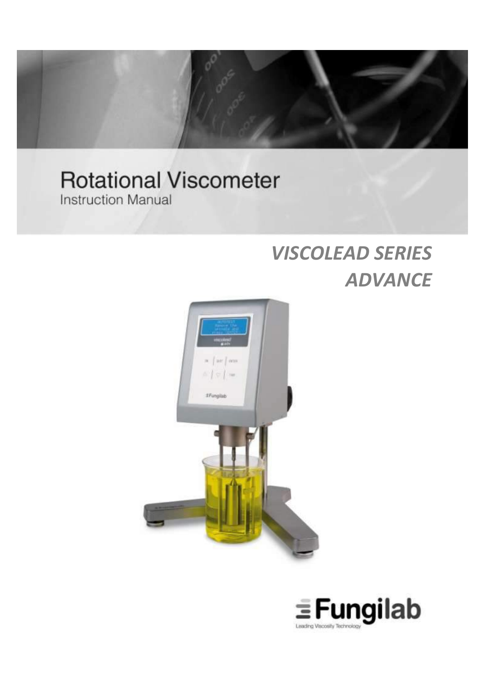

# **Rotational Viscometer Instruction Manual**

# *VISCOLEAD SERIES ADVANCE*



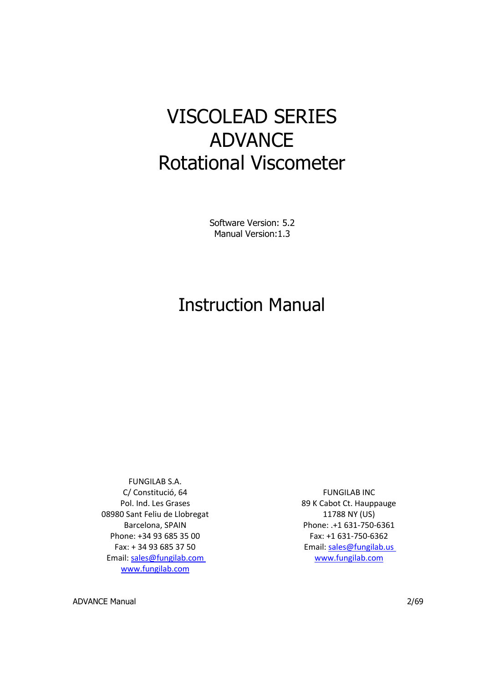# VISCOLEAD SERIES ADVANCE Rotational Viscometer

Software Version: 5.2 Manual Version:1.3

# Instruction Manual

FUNGILAB S.A. C/ Constitució, 64 Pol. Ind. Les Grases 08980 Sant Feliu de Llobregat Barcelona, SPAIN Phone: +34 93 685 35 00 Fax: + 34 93 685 37 50 Email: [sales@fungilab.com](mailto:sales@fungilab.com) [www.fungilab.com](http://www.fungilab.com/)

FUNGILAB INC 89 K Cabot Ct. Hauppauge 11788 NY (US) Phone: .+1 631-750-6361 Fax: +1 631-750-6362 Email: [sales@fungilab.us](mailto:sales@fungilab.us) [www.fungilab.com](http://www.fungilab.com/)

ADVANCE Manual 2/69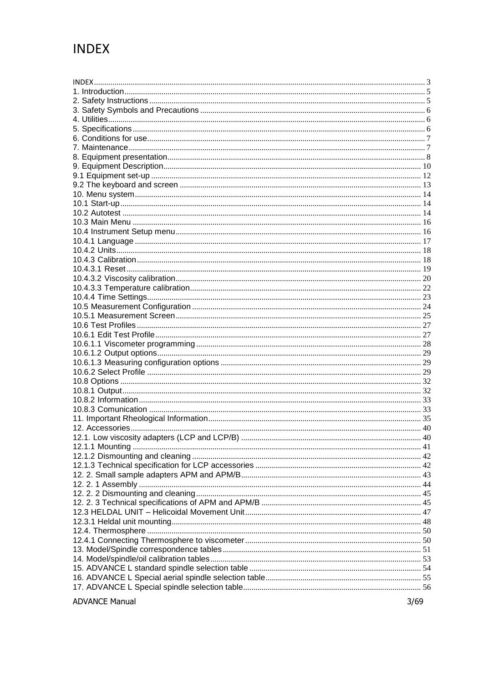# <span id="page-2-0"></span>**INDEX**

**ADVANCE Manual**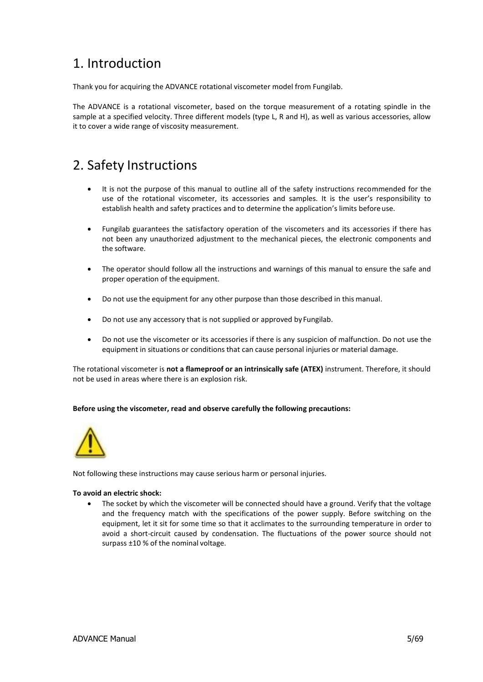# <span id="page-4-0"></span>1. Introduction

Thank you for acquiring the ADVANCE rotational viscometer model from Fungilab.

The ADVANCE is a rotational viscometer, based on the torque measurement of a rotating spindle in the sample at a specified velocity. Three different models (type L, R and H), as well as various accessories, allow it to cover a wide range of viscosity measurement.

### <span id="page-4-1"></span>2. Safety Instructions

- It is not the purpose of this manual to outline all of the safety instructions recommended for the use of the rotational viscometer, its accessories and samples. It is the user's responsibility to establish health and safety practices and to determine the application's limits before use.
- Fungilab guarantees the satisfactory operation of the viscometers and its accessories if there has not been any unauthorized adjustment to the mechanical pieces, the electronic components and the software.
- The operator should follow all the instructions and warnings of this manual to ensure the safe and proper operation of the equipment.
- Do not use the equipment for any other purpose than those described in this manual.
- Do not use any accessory that is not supplied or approved by Fungilab.
- Do not use the viscometer or its accessories if there is any suspicion of malfunction. Do not use the equipment in situations or conditions that can cause personal injuries or material damage.

The rotational viscometer is **not a flameproof or an intrinsically safe (ATEX)** instrument. Therefore, it should not be used in areas where there is an explosion risk.

### **Before using the viscometer, read and observe carefully the following precautions:**



Not following these instructions may cause serious harm or personal injuries.

### **To avoid an electric shock:**

 The socket by which the viscometer will be connected should have a ground. Verify that the voltage and the frequency match with the specifications of the power supply. Before switching on the equipment, let it sit for some time so that it acclimates to the surrounding temperature in order to avoid a short-circuit caused by condensation. The fluctuations of the power source should not surpass ±10 % of the nominal voltage.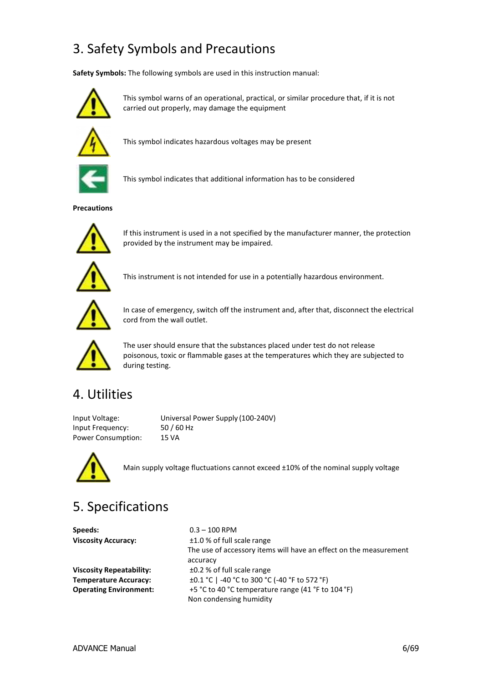# <span id="page-5-0"></span>3. Safety Symbols and Precautions

**Safety Symbols:** The following symbols are used in this instruction manual:



This symbol warns of an operational, practical, or similar procedure that, if it is not carried out properly, may damage the equipment



This symbol indicates hazardous voltages may be present



This symbol indicates that additional information has to be considered

**Precautions**



If this instrument is used in a not specified by the manufacturer manner, the protection provided by the instrument may be impaired.



This instrument is not intended for use in a potentially hazardous environment.



In case of emergency, switch off the instrument and, after that, disconnect the electrical cord from the wall outlet.



The user should ensure that the substances placed under test do not release poisonous, toxic or flammable gases at the temperatures which they are subjected to during testing.

### <span id="page-5-1"></span>4. Utilities

Input Frequency: 50 / 60 Hz Power Consumption: 15 VA

Input Voltage: Universal Power Supply (100-240V)



Main supply voltage fluctuations cannot exceed ±10% of the nominal supply voltage

# <span id="page-5-2"></span>5. Specifications

**Speeds:** 0.3 – 100 RPM

**Viscosity Accuracy:** ±1.0 % of full scale range The use of accessory items will have an effect on the measurement accuracy **Viscosity Repeatability:** ±0.2 % of full scale range **Temperature Accuracy:** ±0.1 °C | -40 °C to 300 °C (-40 °F to 572 °F) **Operating Environment:** +5 °C to 40 °C temperature range (41 °F to 104 °F) Non condensing humidity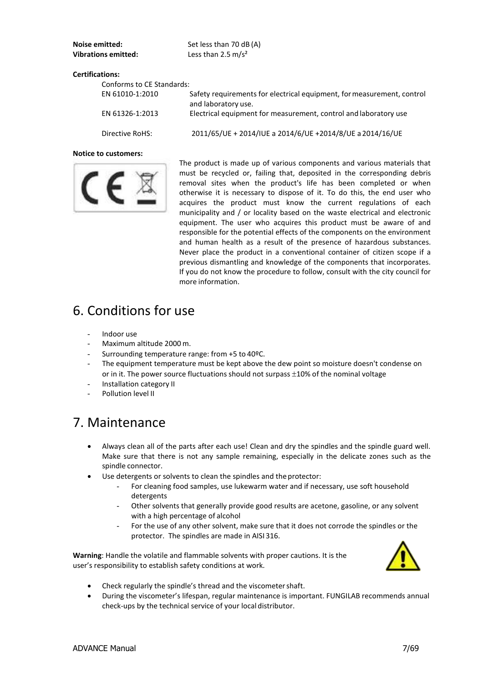| Noise emitted:             | Set less than 70 dB (A) |
|----------------------------|-------------------------|
| <b>Vibrations emitted:</b> | Less than 2.5 $m/s^2$   |

### **Certifications:**

| Conforms to CE Standards: |                                                                                               |
|---------------------------|-----------------------------------------------------------------------------------------------|
| EN 61010-1:2010           | Safety requirements for electrical equipment, for measurement, control<br>and laboratory use. |
| EN 61326-1:2013           | Electrical equipment for measurement, control and laboratory use                              |
| Directive RoHS:           | 2011/65/UE + 2014/IUE a 2014/6/UE +2014/8/UE a 2014/16/UE                                     |

#### **Notice to customers:**



The product is made up of various components and various materials that must be recycled or, failing that, deposited in the corresponding debris removal sites when the product's life has been completed or when otherwise it is necessary to dispose of it. To do this, the end user who acquires the product must know the current regulations of each municipality and / or locality based on the waste electrical and electronic equipment. The user who acquires this product must be aware of and responsible for the potential effects of the components on the environment and human health as a result of the presence of hazardous substances. Never place the product in a conventional container of citizen scope if a previous dismantling and knowledge of the components that incorporates. If you do not know the procedure to follow, consult with the city council for more information.

### <span id="page-6-0"></span>6. Conditions for use

- Indoor use
- Maximum altitude 2000 m.
- Surrounding temperature range: from +5 to 40°C.
- The equipment temperature must be kept above the dew point so moisture doesn't condense on or in it. The power source fluctuations should not surpass  $\pm 10\%$  of the nominal voltage
- Installation category II
- Pollution level II

### <span id="page-6-1"></span>7. Maintenance

- Always clean all of the parts after each use! Clean and dry the spindles and the spindle guard well. Make sure that there is not any sample remaining, especially in the delicate zones such as the spindle connector.
- Use detergents or solvents to clean the spindles and the protector:
	- For cleaning food samples, use lukewarm water and if necessary, use soft household detergents
	- Other solvents that generally provide good results are acetone, gasoline, or any solvent with a high percentage of alcohol
	- For the use of any other solvent, make sure that it does not corrode the spindles or the protector. The spindles are made in AISI 316.

**Warning**: Handle the volatile and flammable solvents with proper cautions. It is the user's responsibility to establish safety conditions at work*.*



- Check regularly the spindle's thread and the viscometershaft.
- During the viscometer's lifespan, regular maintenance is important. FUNGILAB recommends annual check-ups by the technical service of your local distributor.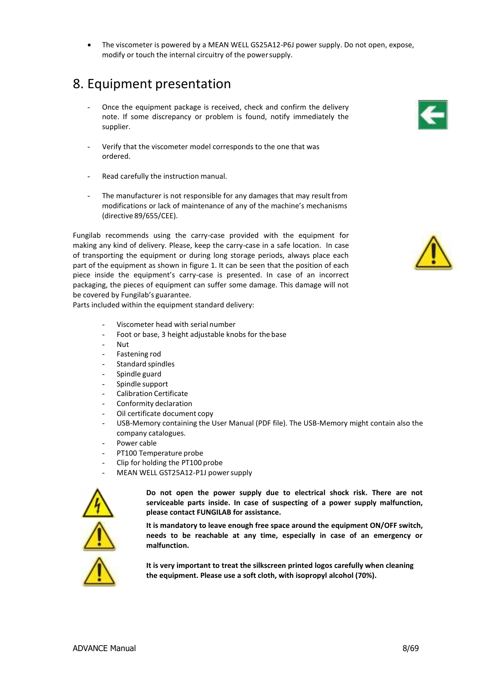The viscometer is powered by a MEAN WELL GS25A12-P6J power supply. Do not open, expose, modify or touch the internal circuitry of the powersupply.

### <span id="page-7-0"></span>8. Equipment presentation

- Once the equipment package is received, check and confirm the delivery note. If some discrepancy or problem is found, notify immediately the supplier.
- Verify that the viscometer model corresponds to the one that was ordered.
- Read carefully the instruction manual.
- The manufacturer is not responsible for any damages that may result from modifications or lack of maintenance of any of the machine's mechanisms (directive 89/655/CEE).

Fungilab recommends using the carry-case provided with the equipment for making any kind of delivery. Please, keep the carry-case in a safe location. In case of transporting the equipment or during long storage periods, always place each part of the equipment as shown in figure 1. It can be seen that the position of each piece inside the equipment's carry-case is presented. In case of an incorrect packaging, the pieces of equipment can suffer some damage. This damage will not be covered by Fungilab's guarantee.

Parts included within the equipment standard delivery:

- Viscometer head with serial number
- Foot or base, 3 height adjustable knobs for the base
- Nut
- Fastening rod
- Standard spindles
- Spindle guard
- Spindle support
- Calibration Certificate
- Conformity declaration
- Oil certificate document copy
- USB-Memory containing the User Manual (PDF file). The USB-Memory might contain also the company catalogues.
- Power cable
- PT100 Temperature probe
- Clip for holding the PT100 probe
- MEAN WELL GST25A12-P1J power supply



**Do not open the power supply due to electrical shock risk. There are not serviceable parts inside. In case of suspecting of a power supply malfunction, please contact FUNGILAB for assistance.**

**It is mandatory to leave enough free space around the equipment ON/OFF switch, needs to be reachable at any time, especially in case of an emergency or malfunction.**



**It is very important to treat the silkscreen printed logos carefully when cleaning the equipment. Please use a soft cloth, with isopropyl alcohol (70%).**



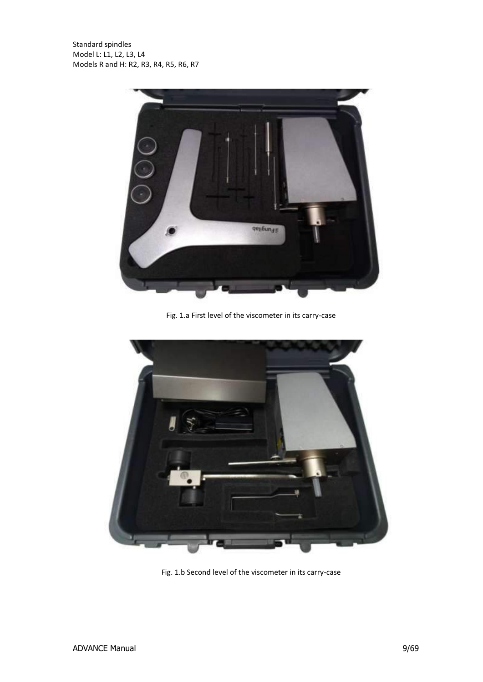

Fig. 1.a First level of the viscometer in its carry-case



Fig. 1.b Second level of the viscometer in its carry-case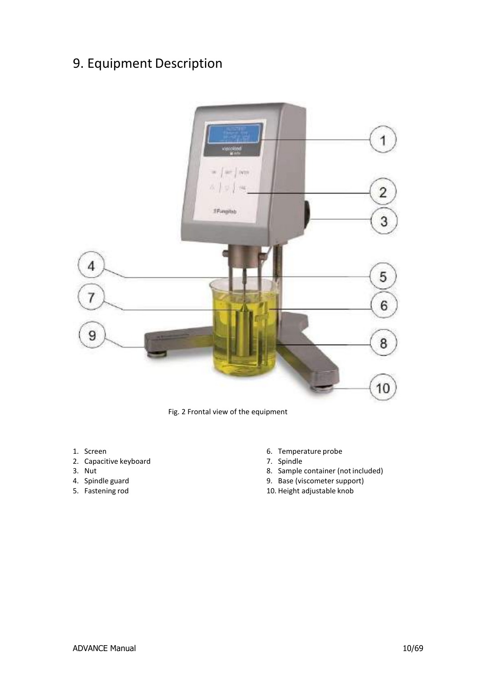# <span id="page-9-0"></span>9. Equipment Description



Fig. 2 Frontal view of the equipment

- 1. Screen
- 2. Capacitive keyboard
- 3. Nut
- 4. Spindle guard
- 5. Fastening rod
- 6. Temperature probe
- 7. Spindle
- 8. Sample container (not included)
- 9. Base (viscometer support)
- 10. Height adjustable knob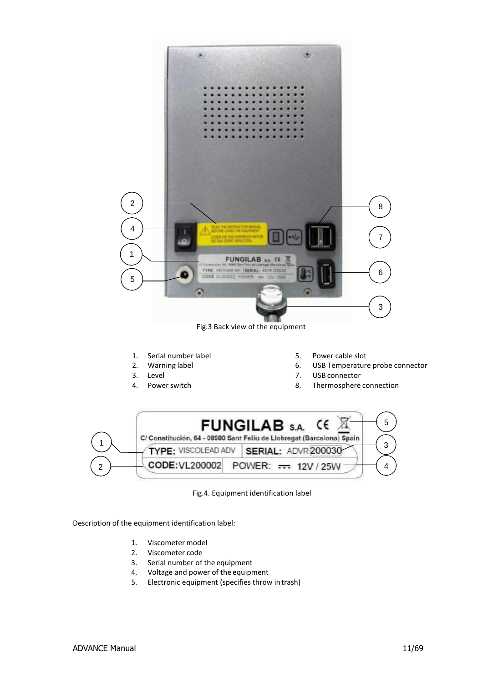

- Description of the equipment identification label:
	- 1. Viscometer model
	- 2. Viscometer code
	- 3. Serial number of the equipment
	- 4. Voltage and power of the equipment
	- 5. Electronic equipment (specifies throw intrash)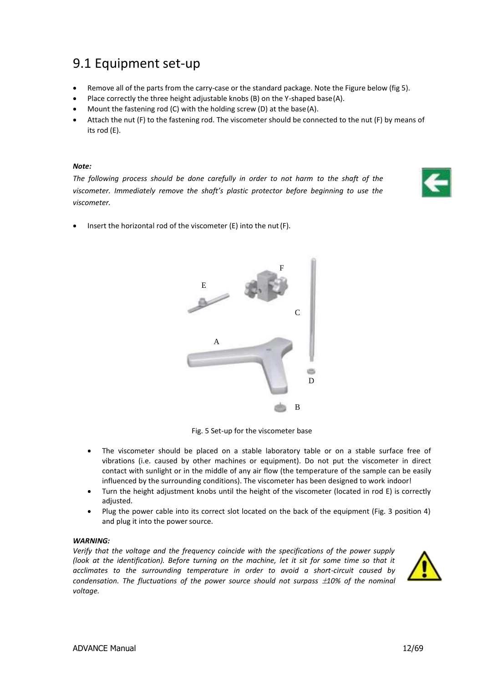# <span id="page-11-0"></span>9.1 Equipment set-up

- Remove all of the parts from the carry-case or the standard package. Note the Figure below (fig 5).
- Place correctly the three height adjustable knobs (B) on the Y-shaped base(A).
- Mount the fastening rod (C) with the holding screw (D) at the base(A).
- Attach the nut (F) to the fastening rod. The viscometer should be connected to the nut (F) by means of its rod (E).

### *Note:*

*The following process should be done carefully in order to not harm to the shaft of the viscometer. Immediately remove the shaft's plastic protector before beginning to use the viscometer.*



Insert the horizontal rod of the viscometer (E) into the nut (F).



Fig. 5 Set-up for the viscometer base

- The viscometer should be placed on a stable laboratory table or on a stable surface free of vibrations (i.e. caused by other machines or equipment). Do not put the viscometer in direct contact with sunlight or in the middle of any air flow (the temperature of the sample can be easily influenced by the surrounding conditions). The viscometer has been designed to work indoor!
- Turn the height adjustment knobs until the height of the viscometer (located in rod E) is correctly adjusted.
- Plug the power cable into its correct slot located on the back of the equipment (Fig. 3 position 4) and plug it into the power source.

#### *WARNING:*

*Verify that the voltage and the frequency coincide with the specifications of the power supply (look at the identification). Before turning on the machine, let it sit for some time so that it acclimates to the surrounding temperature in order to avoid a short-circuit caused by condensation. The fluctuations of the power source should not surpass 10% of the nominal voltage.*

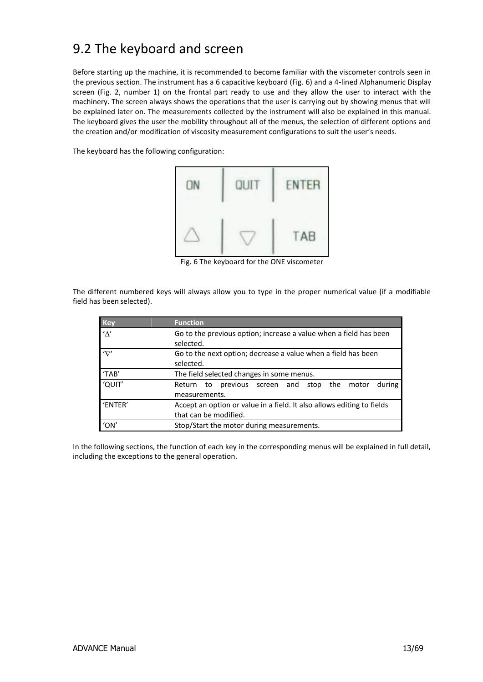# <span id="page-12-0"></span>9.2 The keyboard and screen

Before starting up the machine, it is recommended to become familiar with the viscometer controls seen in the previous section. The instrument has a 6 capacitive keyboard (Fig. 6) and a 4-lined Alphanumeric Display screen (Fig. 2, number 1) on the frontal part ready to use and they allow the user to interact with the machinery. The screen always shows the operations that the user is carrying out by showing menus that will be explained later on. The measurements collected by the instrument will also be explained in this manual. The keyboard gives the user the mobility throughout all of the menus, the selection of different options and the creation and/or modification of viscosity measurement configurations to suit the user's needs.

The keyboard has the following configuration:



Fig. 6 The keyboard for the ONE viscometer

The different numbered keys will always allow you to type in the proper numerical value (if a modifiable field has been selected).

| <b>Key</b>  | <b>Function</b>                                                                                 |  |  |
|-------------|-------------------------------------------------------------------------------------------------|--|--|
| $' \Delta'$ | Go to the previous option; increase a value when a field has been<br>selected.                  |  |  |
| 'ab         | Go to the next option; decrease a value when a field has been<br>selected.                      |  |  |
| 'TAB'       | The field selected changes in some menus.                                                       |  |  |
| 'QUIT'      | to previous screen and stop the<br>during<br>motor<br>Return<br>measurements.                   |  |  |
| 'ENTER'     | Accept an option or value in a field. It also allows editing to fields<br>that can be modified. |  |  |
| 'ON         | Stop/Start the motor during measurements.                                                       |  |  |

In the following sections, the function of each key in the corresponding menus will be explained in full detail, including the exceptions to the general operation.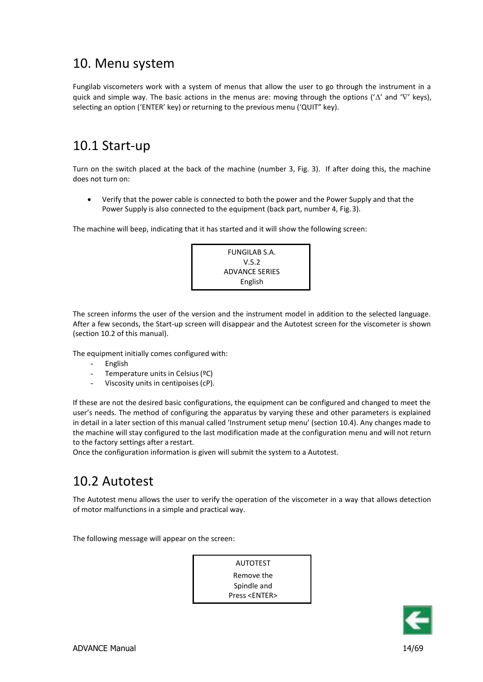### <span id="page-13-0"></span>10. Menu system

Fungilab viscometers work with a system of menus that allow the user to go through the instrument in a quick and simple way. The basic actions in the menus are: moving through the options (' $\Delta'$  and ' $\nabla'$  keys), selecting an option ('ENTER' key) or returning to the previous menu ('QUIT" key).

### <span id="page-13-1"></span>10.1 Start-up

Turn on the switch placed at the back of the machine (number 3, Fig. 3). If after doing this, the machine does not turn on:

 Verify that the power cable is connected to both the power and the Power Supply and that the Power Supply is also connected to the equipment (back part, number 4, Fig.3).

The machine will beep, indicating that it has started and it will show the following screen:



The screen informs the user of the version and the instrument model in addition to the selected language. After a few seconds, the Start-up screen will disappear and the Autotest screen for the viscometer is shown (section 10.2 of this manual).

The equipment initially comes configured with:

- English
- Temperature units in Celsius (ºC)
- Viscosity units in centipoises (cP).

If these are not the desired basic configurations, the equipment can be configured and changed to meet the user's needs. The method of configuring the apparatus by varying these and other parameters is explained in detail in a later section of this manual called 'Instrument setup menu' (section 10.4). Any changes made to the machine will stay configured to the last modification made at the configuration menu and will not return to the factory settings after a restart.

Once the configuration information is given will submit the system to a Autotest.

### <span id="page-13-2"></span>10.2 Autotest

The Autotest menu allows the user to verify the operation of the viscometer in a way that allows detection of motor malfunctions in a simple and practical way.

The following message will appear on the screen:



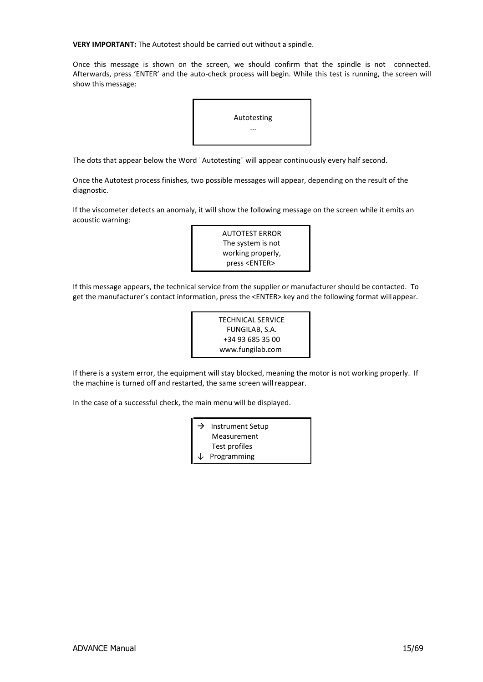**VERY IMPORTANT:** The Autotest should be carried out without a spindle.

Once this message is shown on the screen, we should confirm that the spindle is not connected. Afterwards, press 'ENTER' and the auto-check process will begin. While this test is running, the screen will show this message:



The dots that appear below the Word ¨Autotesting¨ will appear continuously every half second.

Once the Autotest process finishes, two possible messages will appear, depending on the result of the diagnostic.

If the viscometer detects an anomaly, it will show the following message on the screen while it emits an acoustic warning:



If this message appears, the technical service from the supplier or manufacturer should be contacted. To get the manufacturer's contact information, press the <ENTER> key and the following format will appear.

> TECHNICAL SERVICE FUNGILAB, S.A. +34 93 685 35 00 [www.fungilab.com](http://www.fungilab.com/)

If there is a system error, the equipment will stay blocked, meaning the motor is not working properly. If the machine is turned off and restarted, the same screen willreappear.

In the case of a successful check, the main menu will be displayed.

| → | <b>Instrument Setup</b>  |
|---|--------------------------|
|   | Measurement              |
|   | Test profiles            |
|   | $\downarrow$ Programming |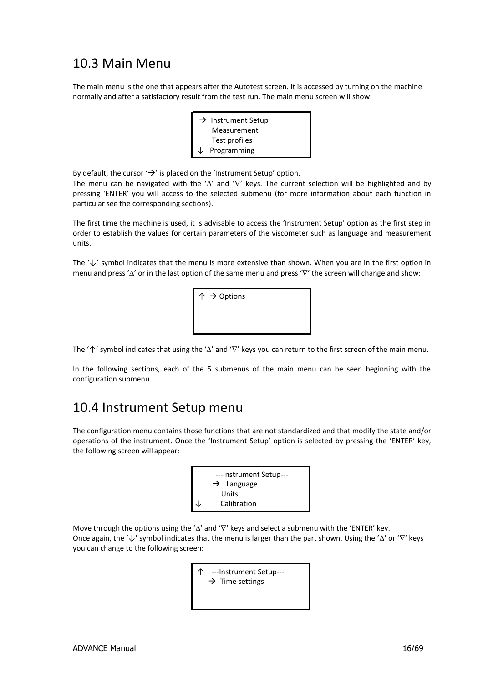### <span id="page-15-0"></span>10.3 Main Menu

The main menu is the one that appears after the Autotest screen. It is accessed by turning on the machine normally and after a satisfactory result from the test run. The main menu screen will show:

> $\rightarrow$  Instrument Setup Measurement Test profiles **Programming**

By default, the cursor  $\rightarrow$  is placed on the 'Instrument Setup' option.

The menu can be navigated with the ' $\Delta'$  and ' $\nabla'$  keys. The current selection will be highlighted and by pressing 'ENTER' you will access to the selected submenu (for more information about each function in particular see the corresponding sections).

The first time the machine is used, it is advisable to access the 'Instrument Setup' option as the first step in order to establish the values for certain parameters of the viscometer such as language and measurement units.

The '↓' symbol indicates that the menu is more extensive than shown. When you are in the first option in menu and press ' $\Delta'$  or in the last option of the same menu and press ' $\nabla'$  the screen will change and show:



The ' $\uparrow$ ' symbol indicates that using the ' $\Delta'$  and ' $\nabla'$  keys you can return to the first screen of the main menu.

In the following sections, each of the 5 submenus of the main menu can be seen beginning with the configuration submenu.

### <span id="page-15-1"></span>10.4 Instrument Setup menu

The configuration menu contains those functions that are not standardized and that modify the state and/or operations of the instrument. Once the 'Instrument Setup' option is selected by pressing the 'ENTER' key, the following screen will appear:



Move through the options using the ' $\Delta'$  and ' $\nabla'$  keys and select a submenu with the 'ENTER' key. Once again, the ' $\downarrow$ ' symbol indicates that the menu is larger than the part shown. Using the ' $\Delta$ ' or ' $\nabla$ ' keys you can change to the following screen:

> ↑ ---Instrument Setup---  $\rightarrow$  Time settings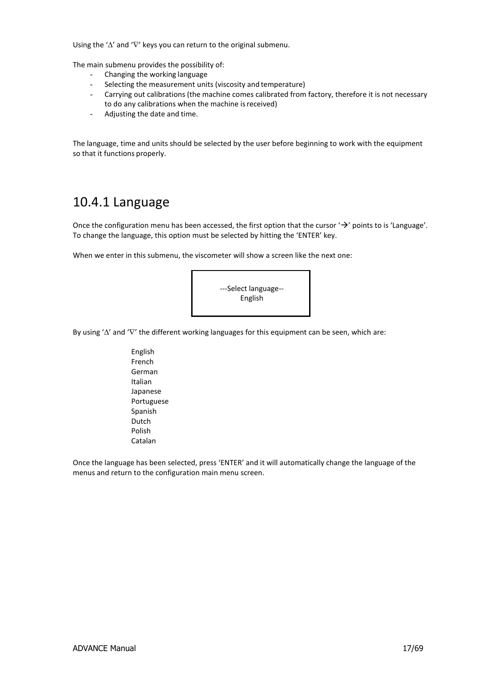Using the ' $\Delta$ ' and ' $\nabla$ ' keys you can return to the original submenu.

The main submenu provides the possibility of:

- Changing the working language
- Selecting the measurement units (viscosity and temperature)
- Carrying out calibrations (the machine comes calibrated from factory, therefore it is not necessary to do any calibrations when the machine isreceived)
- Adjusting the date and time.

The language, time and units should be selected by the user before beginning to work with the equipment so that it functions properly.

### <span id="page-16-0"></span>10.4.1 Language

Once the configuration menu has been accessed, the first option that the cursor ' $\rightarrow$ ' points to is 'Language'. To change the language, this option must be selected by hitting the 'ENTER' key.

When we enter in this submenu, the viscometer will show a screen like the next one:



By using ' $\Delta'$  and ' $\nabla'$  the different working languages for this equipment can be seen, which are:

English French German Italian Japanese Portuguese Spanish Dutch Polish Catalan

Once the language has been selected, press 'ENTER' and it will automatically change the language of the menus and return to the configuration main menu screen.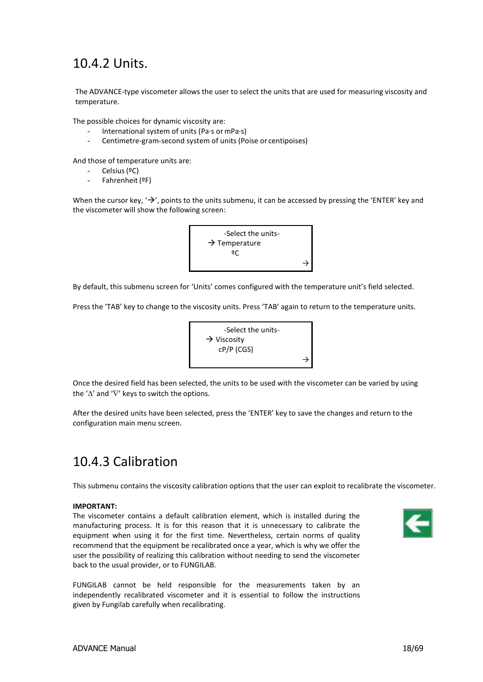# <span id="page-17-0"></span>10.4.2 Units.

The ADVANCE-type viscometer allows the user to select the units that are used for measuring viscosity and temperature.

The possible choices for dynamic viscosity are:

- International system of units (Pa·s or mPa·s)
- Centimetre-gram-second system of units (Poise or centipoises)

And those of temperature units are:

- Celsius(ºC)
- Fahrenheit (ºF)

When the cursor key,  $\rightarrow$ , points to the units submenu, it can be accessed by pressing the 'ENTER' key and the viscometer will show the following screen:



By default, this submenu screen for 'Units' comes configured with the temperature unit's field selected.

Press the 'TAB' key to change to the viscosity units. Press 'TAB' again to return to the temperature units.



Once the desired field has been selected, the units to be used with the viscometer can be varied by using the ' $\Delta'$  and ' $\nabla'$  keys to switch the options.

After the desired units have been selected, press the 'ENTER' key to save the changes and return to the configuration main menu screen.

# <span id="page-17-1"></span>10.4.3 Calibration

This submenu contains the viscosity calibration options that the user can exploit to recalibrate the viscometer.

### **IMPORTANT:**

The viscometer contains a default calibration element, which is installed during the manufacturing process. It is for this reason that it is unnecessary to calibrate the equipment when using it for the first time. Nevertheless, certain norms of quality recommend that the equipment be recalibrated once a year, which is why we offer the user the possibility of realizing this calibration without needing to send the viscometer back to the usual provider, or to FUNGILAB.



FUNGILAB cannot be held responsible for the measurements taken by an independently recalibrated viscometer and it is essential to follow the instructions given by Fungilab carefully when recalibrating.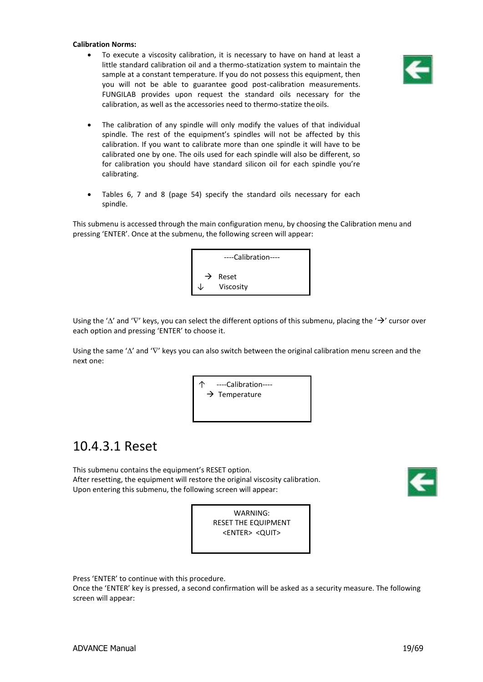#### **Calibration Norms:**

 To execute a viscosity calibration, it is necessary to have on hand at least a little standard calibration oil and a thermo-statization system to maintain the sample at a constant temperature. If you do not possess this equipment, then you will not be able to guarantee good post-calibration measurements. FUNGILAB provides upon request the standard oils necessary for the calibration, as well as the accessories need to thermo-statize theoils.



- The calibration of any spindle will only modify the values of that individual spindle. The rest of the equipment's spindles will not be affected by this calibration. If you want to calibrate more than one spindle it will have to be calibrated one by one. The oils used for each spindle will also be different, so for calibration you should have standard silicon oil for each spindle you're calibrating.
- Tables 6, 7 and 8 (page 54) specify the standard oils necessary for each spindle.

This submenu is accessed through the main configuration menu, by choosing the Calibration menu and pressing 'ENTER'. Once at the submenu, the following screen will appear:



Using the ' $\Delta'$  and ' $\nabla'$  keys, you can select the different options of this submenu, placing the ' $\rightarrow$ ' cursor over each option and pressing 'ENTER' to choose it.

Using the same ' $\Delta'$  and ' $\nabla'$  keys you can also switch between the original calibration menu screen and the next one:

> ----Calibration---- $\rightarrow$  Temperature

### <span id="page-18-0"></span>10.4.3.1 Reset

This submenu contains the equipment's RESET option. After resetting, the equipment will restore the original viscosity calibration. Upon entering this submenu, the following screen will appear:





Press 'ENTER' to continue with this procedure.

Once the 'ENTER' key is pressed, a second confirmation will be asked as a security measure. The following screen will appear: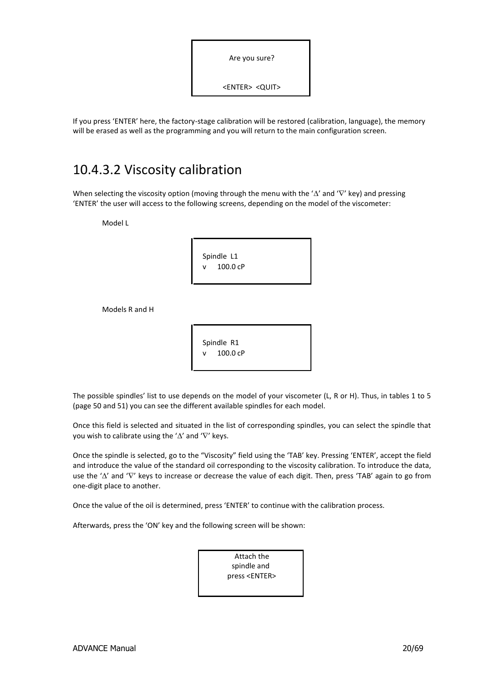| Are you sure?                 |  |
|-------------------------------|--|
| <enter> <quit></quit></enter> |  |

If you press 'ENTER' here, the factory-stage calibration will be restored (calibration, language), the memory will be erased as well as the programming and you will return to the main configuration screen.

### <span id="page-19-0"></span>10.4.3.2 Viscosity calibration

When selecting the viscosity option (moving through the menu with the ' $\Delta'$  and ' $\nabla'$  key) and pressing 'ENTER' the user will access to the following screens, depending on the model of the viscometer:

Model L

|   | Spindle L1 |  |  |
|---|------------|--|--|
| v | 100.0 cP   |  |  |
|   |            |  |  |

Models R and H

| Spindle R1 |  |
|------------|--|
| 100.0 cP   |  |
|            |  |

The possible spindles' list to use depends on the model of your viscometer (L, R or H). Thus, in tables 1 to 5 (page 50 and 51) you can see the different available spindles for each model.

Once this field is selected and situated in the list of corresponding spindles, you can select the spindle that you wish to calibrate using the ' $\Delta'$  and ' $\nabla'$  keys.

Once the spindle is selected, go to the "Viscosity" field using the 'TAB' key. Pressing 'ENTER', accept the field and introduce the value of the standard oil corresponding to the viscosity calibration. To introduce the data, use the '\" and 'V' keys to increase or decrease the value of each digit. Then, press 'TAB' again to go from one-digit place to another.

Once the value of the oil is determined, press 'ENTER' to continue with the calibration process.

Afterwards, press the 'ON' key and the following screen will be shown:

Attach the spindle and press <ENTER>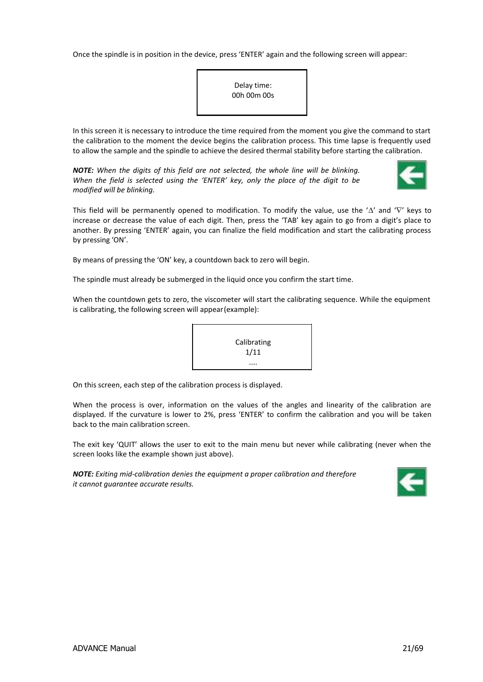Once the spindle is in position in the device, press 'ENTER' again and the following screen will appear:



In this screen it is necessary to introduce the time required from the moment you give the command to start the calibration to the moment the device begins the calibration process. This time lapse is frequently used to allow the sample and the spindle to achieve the desired thermal stability before starting the calibration.

*NOTE: When the digits of this field are not selected, the whole line will be blinking. When the field is selected using the 'ENTER' key, only the place of the digit to be modified will be blinking.*



This field will be permanently opened to modification. To modify the value, use the ' $\Delta'$  and 'V' keys to increase or decrease the value of each digit. Then, press the 'TAB' key again to go from a digit's place to another. By pressing 'ENTER' again, you can finalize the field modification and start the calibrating process by pressing 'ON'.

By means of pressing the 'ON' key, a countdown back to zero will begin.

The spindle must already be submerged in the liquid once you confirm the start time.

When the countdown gets to zero, the viscometer will start the calibrating sequence. While the equipment is calibrating, the following screen will appear(example):



On this screen, each step of the calibration process is displayed.

When the process is over, information on the values of the angles and linearity of the calibration are displayed. If the curvature is lower to 2%, press 'ENTER' to confirm the calibration and you will be taken back to the main calibration screen.

The exit key 'QUIT' allows the user to exit to the main menu but never while calibrating (never when the screen looks like the example shown just above).

*NOTE: Exiting mid-calibration denies the equipment a proper calibration and therefore it cannot guarantee accurate results.*

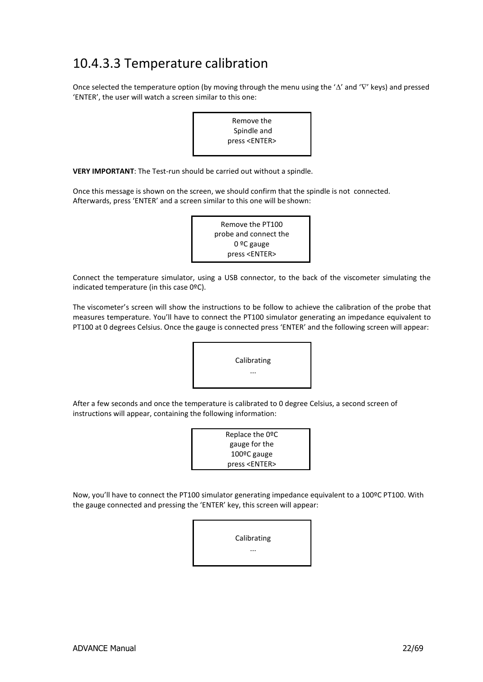# <span id="page-21-0"></span>10.4.3.3 Temperature calibration

Once selected the temperature option (by moving through the menu using the ' $\Delta'$  and ' $\nabla'$  keys) and pressed 'ENTER', the user will watch a screen similar to this one:



**VERY IMPORTANT**: The Test-run should be carried out without a spindle.

Once this message is shown on the screen, we should confirm that the spindle is not connected. Afterwards, press 'ENTER' and a screen similar to this one will be shown:

| Remove the PT100      |  |
|-----------------------|--|
| probe and connect the |  |
| $09C$ gauge           |  |
| press <enter></enter> |  |

Connect the temperature simulator, using a USB connector, to the back of the viscometer simulating the indicated temperature (in this case 0ºC).

The viscometer's screen will show the instructions to be follow to achieve the calibration of the probe that measures temperature. You'll have to connect the PT100 simulator generating an impedance equivalent to PT100 at 0 degrees Celsius. Once the gauge is connected press 'ENTER' and the following screen will appear:



After a few seconds and once the temperature is calibrated to 0 degree Celsius, a second screen of instructions will appear, containing the following information:

| Replace the 0ºC          |  |
|--------------------------|--|
| gauge for the            |  |
| 100 <sup>o</sup> C gauge |  |
| press <enter></enter>    |  |

Now, you'll have to connect the PT100 simulator generating impedance equivalent to a 100ºC PT100. With the gauge connected and pressing the 'ENTER' key, this screen will appear:

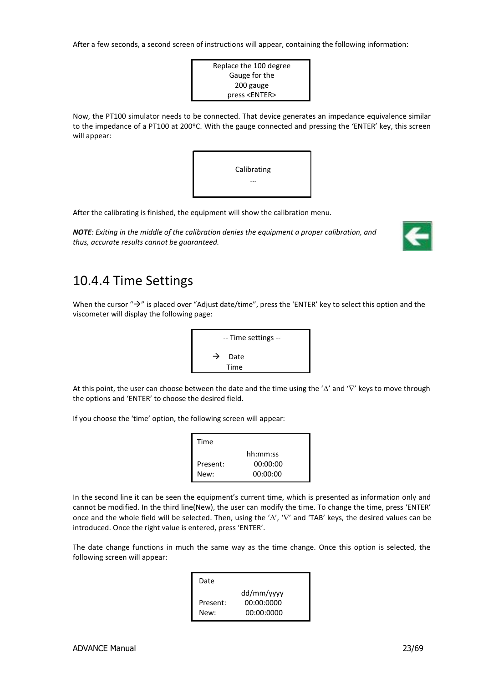After a few seconds, a second screen of instructions will appear, containing the following information:

Replace the 100 degree Gauge for the 200 gauge press <ENTER>

Now, the PT100 simulator needs to be connected. That device generates an impedance equivalence similar to the impedance of a PT100 at 200ºC. With the gauge connected and pressing the 'ENTER' key, this screen will appear:



After the calibrating is finished, the equipment will show the calibration menu.

*NOTE: Exiting in the middle of the calibration denies the equipment a proper calibration, and thus, accurate results cannot be guaranteed.*



### <span id="page-22-0"></span>10.4.4 Time Settings

When the cursor " $\rightarrow$ " is placed over "Adjust date/time", press the 'ENTER' key to select this option and the viscometer will display the following page:



At this point, the user can choose between the date and the time using the ' $\Delta'$  and ' $\nabla'$  keys to move through the options and 'ENTER' to choose the desired field.

If you choose the 'time' option, the following screen will appear:

| Time     |          |
|----------|----------|
|          | hh:mm:ss |
| Present: | 00:00:00 |
| New:     | 00:00:00 |

In the second line it can be seen the equipment's current time, which is presented as information only and cannot be modified. In the third line(New), the user can modify the time. To change the time, press 'ENTER' once and the whole field will be selected. Then, using the ' $\Delta'$ , ' $\nabla'$  and 'TAB' keys, the desired values can be introduced. Once the right value is entered, press 'ENTER'.

The date change functions in much the same way as the time change. Once this option is selected, the following screen will appear:

| dd/mm/yyyy |
|------------|
| 00:00:0000 |
| 00:00:0000 |
|            |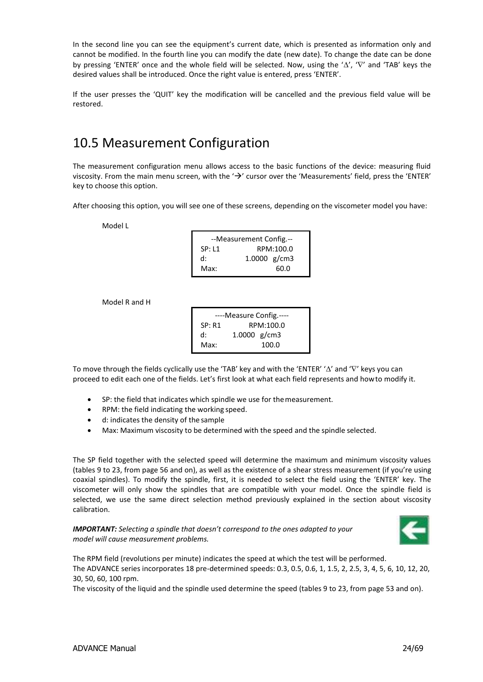In the second line you can see the equipment's current date, which is presented as information only and cannot be modified. In the fourth line you can modify the date (new date). To change the date can be done by pressing 'ENTER' once and the whole field will be selected. Now, using the ' $\Delta'$ , ' $\nabla'$  and 'TAB' keys the desired values shall be introduced. Once the right value is entered, press 'ENTER'.

If the user presses the 'QUIT' key the modification will be cancelled and the previous field value will be restored.

# <span id="page-23-0"></span>10.5 Measurement Configuration

The measurement configuration menu allows access to the basic functions of the device: measuring fluid viscosity. From the main menu screen, with the  $\rightarrow$  cursor over the 'Measurements' field, press the 'ENTER' key to choose this option.

After choosing this option, you will see one of these screens, depending on the viscometer model you have:

Model L

| --Measurement Config.-- |              |  |
|-------------------------|--------------|--|
| SP: L1                  | RPM:100.0    |  |
| d:                      | 1.0000 g/cm3 |  |
| Max:                    | 60.0         |  |

Model R and H

| ----Measure Config.---- |  |  |
|-------------------------|--|--|
| RPM:100.0               |  |  |
| 1.0000 g/cm3            |  |  |
| 100.0                   |  |  |
|                         |  |  |

To move through the fields cyclically use the 'TAB' key and with the 'ENTER' ' $\Delta$ ' and 'V' keys you can proceed to edit each one of the fields. Let's first look at what each field represents and howto modify it.

- SP: the field that indicates which spindle we use for themeasurement.
- RPM: the field indicating the working speed.
- d: indicates the density of the sample
- Max: Maximum viscosity to be determined with the speed and the spindle selected.

The SP field together with the selected speed will determine the maximum and minimum viscosity values (tables 9 to 23, from page 56 and on), as well as the existence of a shear stress measurement (if you're using coaxial spindles). To modify the spindle, first, it is needed to select the field using the 'ENTER' key. The viscometer will only show the spindles that are compatible with your model. Once the spindle field is selected, we use the same direct selection method previously explained in the section about viscosity calibration.

*IMPORTANT: Selecting a spindle that doesn't correspond to the ones adapted to your model will cause measurement problems.*



The RPM field (revolutions per minute) indicates the speed at which the test will be performed. The ADVANCE series incorporates 18 pre-determined speeds: 0.3, 0.5, 0.6, 1, 1.5, 2, 2.5, 3, 4, 5, 6, 10, 12, 20, 30, 50, 60, 100 rpm.

The viscosity of the liquid and the spindle used determine the speed (tables 9 to 23, from page 53 and on).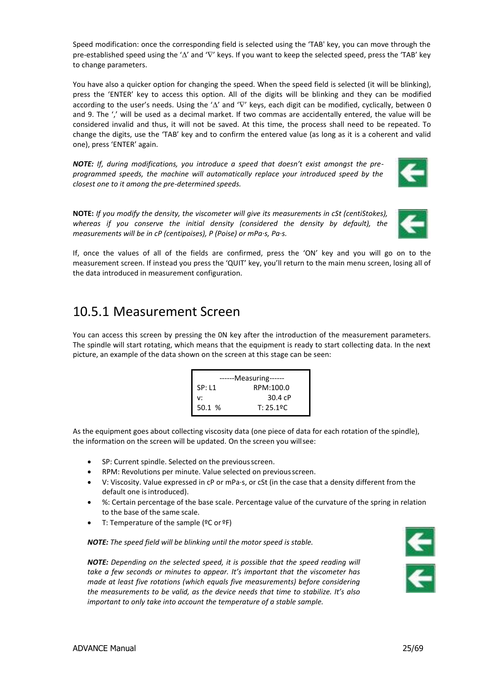Speed modification: once the corresponding field is selected using the 'TAB' key, you can move through the pre-established speed using the ' $\Delta'$  and ' $\nabla'$  keys. If you want to keep the selected speed, press the 'TAB' key to change parameters.

You have also a quicker option for changing the speed. When the speed field is selected (it will be blinking), press the 'ENTER' key to access this option. All of the digits will be blinking and they can be modified according to the user's needs. Using the ' $\Delta$ ' and ' $\nabla$ ' keys, each digit can be modified, cyclically, between 0 and 9. The ',' will be used as a decimal market. If two commas are accidentally entered, the value will be considered invalid and thus, it will not be saved. At this time, the process shall need to be repeated. To change the digits, use the 'TAB' key and to confirm the entered value (as long as it is a coherent and valid one), press 'ENTER' again.

*NOTE: If, during modifications, you introduce a speed that doesn't exist amongst the preprogrammed speeds, the machine will automatically replace your introduced speed by the closest one to it among the pre-determined speeds.*



**NOTE:** *If you modify the density, the viscometer will give its measurements in cSt (centiStokes), whereas if you conserve the initial density (considered the density by default), the measurements will be in cP (centipoises), P (Poise) or mPa·s, Pa·s.*



If, once the values of all of the fields are confirmed, press the 'ON' key and you will go on to the measurement screen. If instead you press the 'QUIT' key, you'll return to the main menu screen, losing all of the data introduced in measurement configuration.

### <span id="page-24-0"></span>10.5.1 Measurement Screen

You can access this screen by pressing the 0N key after the introduction of the measurement parameters. The spindle will start rotating, which means that the equipment is ready to start collecting data. In the next picture, an example of the data shown on the screen at this stage can be seen:

| ------Measuring------ |           |  |
|-----------------------|-----------|--|
| SP: L1                | RPM:100.0 |  |
| v:                    | 30.4 cP   |  |
| 50.1 %                | T: 25.19C |  |

As the equipment goes about collecting viscosity data (one piece of data for each rotation of the spindle), the information on the screen will be updated. On the screen you willsee:

- SP: Current spindle. Selected on the previousscreen.
- RPM: Revolutions per minute. Value selected on previousscreen.
- V: Viscosity. Value expressed in cP or mPa·s, or cSt (in the case that a density different from the default one is introduced).
- %: Certain percentage of the base scale. Percentage value of the curvature of the spring in relation to the base of the same scale.
- T: Temperature of the sample (ºC or ºF)

*NOTE: The speed field will be blinking until the motor speed is stable.*



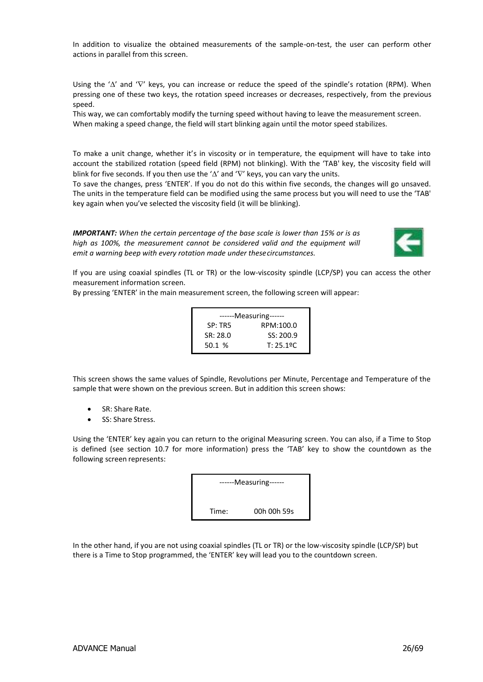In addition to visualize the obtained measurements of the sample-on-test, the user can perform other actions in parallel from this screen.

Using the ' $\Delta'$  and ' $\nabla'$  keys, you can increase or reduce the speed of the spindle's rotation (RPM). When pressing one of these two keys, the rotation speed increases or decreases, respectively, from the previous speed.

This way, we can comfortably modify the turning speed without having to leave the measurement screen. When making a speed change, the field will start blinking again until the motor speed stabilizes.

To make a unit change, whether it's in viscosity or in temperature, the equipment will have to take into account the stabilized rotation (speed field (RPM) not blinking). With the 'TAB' key, the viscosity field will blink for five seconds. If you then use the ' $\Delta'$  and ' $\nabla'$  keys, you can vary the units.

To save the changes, press 'ENTER'. If you do not do this within five seconds, the changes will go unsaved. The units in the temperature field can be modified using the same process but you will need to use the 'TAB' key again when you've selected the viscosity field (it will be blinking).

*IMPORTANT: When the certain percentage of the base scale is lower than 15% or is as high as 100%, the measurement cannot be considered valid and the equipment will emit a warning beep with every rotation made under thesecircumstances.*



If you are using coaxial spindles (TL or TR) or the low-viscosity spindle (LCP/SP) you can access the other measurement information screen.

By pressing 'ENTER' in the main measurement screen, the following screen will appear:

| ------Measuring------ |           |  |
|-----------------------|-----------|--|
| SP: TR5               | RPM:100.0 |  |
| SR: 28.0              | SS: 200.9 |  |
| 50.1%                 | T: 25.19C |  |

This screen shows the same values of Spindle, Revolutions per Minute, Percentage and Temperature of the sample that were shown on the previous screen. But in addition this screen shows:

- SR: Share Rate.
- SS: Share Stress.

Using the 'ENTER' key again you can return to the original Measuring screen. You can also, if a Time to Stop is defined (see section 10.7 for more information) press the 'TAB' key to show the countdown as the following screen represents:

| ------Measuring------ |  |
|-----------------------|--|
| 00h 00h 59s<br>Time:  |  |

In the other hand, if you are not using coaxial spindles (TL or TR) or the low-viscosity spindle (LCP/SP) but there is a Time to Stop programmed, the 'ENTER' key will lead you to the countdown screen.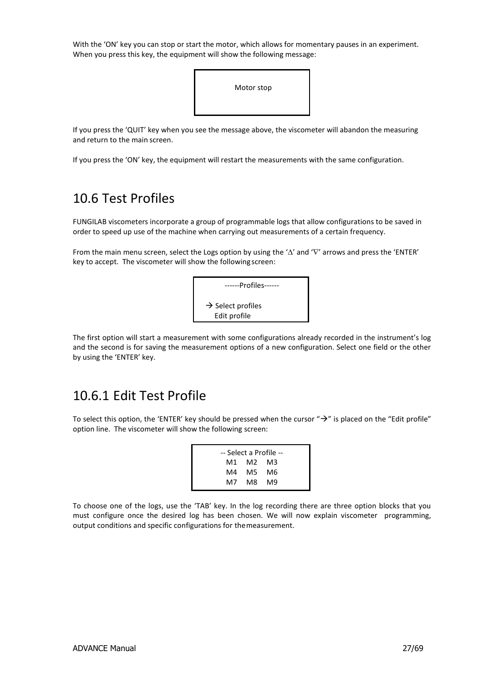With the 'ON' key you can stop or start the motor, which allows for momentary pauses in an experiment. When you press this key, the equipment will show the following message:



If you press the 'QUIT' key when you see the message above, the viscometer will abandon the measuring and return to the main screen.

If you press the 'ON' key, the equipment will restart the measurements with the same configuration.

### <span id="page-26-0"></span>10.6 Test Profiles

FUNGILAB viscometers incorporate a group of programmable logs that allow configurations to be saved in order to speed up use of the machine when carrying out measurements of a certain frequency.

From the main menu screen, select the Logs option by using the ' $\Delta'$  and ' $\nabla'$  arrows and press the 'ENTER' key to accept. The viscometer will show the following screen:



The first option will start a measurement with some configurations already recorded in the instrument's log and the second is for saving the measurement options of a new configuration. Select one field or the other by using the 'ENTER' key.

### <span id="page-26-1"></span>10.6.1 Edit Test Profile

To select this option, the 'ENTER' key should be pressed when the cursor " $\rightarrow$ " is placed on the "Edit profile" option line. The viscometer will show the following screen:

|      |          | -- Select a Profile -- |  |
|------|----------|------------------------|--|
|      | M1 M2 M3 |                        |  |
| M4 - |          | M5 M6                  |  |
| M7 - |          | M8 M9                  |  |

To choose one of the logs, use the 'TAB' key. In the log recording there are three option blocks that you must configure once the desired log has been chosen. We will now explain viscometer programming, output conditions and specific configurations for themeasurement.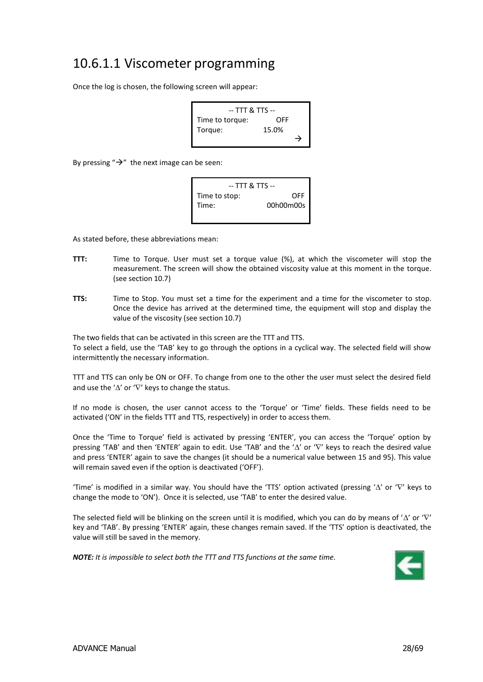### <span id="page-27-0"></span>10.6.1.1 Viscometer programming

Once the log is chosen, the following screen will appear:

-- TTT & TTS -- Time to torque: OFF Torque: 15.0%  $\rightarrow$ 

By pressing " $\rightarrow$ " the next image can be seen:



As stated before, these abbreviations mean:

- **TTT:** Time to Torque. User must set a torque value (%), at which the viscometer will stop the measurement. The screen will show the obtained viscosity value at this moment in the torque. (see section 10.7)
- **TTS:** Time to Stop. You must set a time for the experiment and a time for the viscometer to stop. Once the device has arrived at the determined time, the equipment will stop and display the value of the viscosity (see section 10.7)

The two fields that can be activated in this screen are the TTT and TTS. To select a field, use the 'TAB' key to go through the options in a cyclical way. The selected field will show intermittently the necessary information.

TTT and TTS can only be ON or OFF. To change from one to the other the user must select the desired field and use the ' $\Delta'$  or ' $\nabla'$  keys to change the status.

If no mode is chosen, the user cannot access to the 'Torque' or 'Time' fields. These fields need to be activated ('ON' in the fields TTT and TTS, respectively) in order to access them.

Once the 'Time to Torque' field is activated by pressing 'ENTER', you can access the 'Torque' option by pressing 'TAB' and then 'ENTER' again to edit. Use 'TAB' and the ' $\Delta'$  or ' $\nabla'$  keys to reach the desired value and press 'ENTER' again to save the changes (it should be a numerical value between 15 and 95). This value will remain saved even if the option is deactivated ('OFF').

'Time' is modified in a similar way. You should have the 'TTS' option activated (pressing ' $\Delta'$  or ' $\nabla'$  keys to change the mode to 'ON'). Once it is selected, use 'TAB' to enter the desired value.

The selected field will be blinking on the screen until it is modified, which you can do by means of ' $\Delta'$  or ' $\nabla'$ key and 'TAB'. By pressing 'ENTER' again, these changes remain saved. If the 'TTS' option is deactivated, the value will still be saved in the memory.

*NOTE: It is impossible to select both the TTT and TTS functions at the same time.*

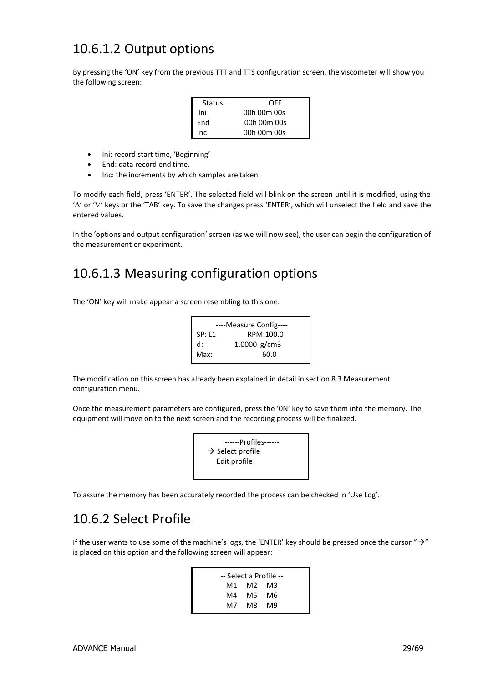### <span id="page-28-0"></span>10.6.1.2 Output options

By pressing the 'ON' key from the previous TTT and TTS configuration screen, the viscometer will show you the following screen:

| Status | OFF         |
|--------|-------------|
| Ini    | 00h 00m 00s |
| End    | 00h 00m 00s |
| Inc    | 00h 00m 00s |

- Ini: record start time, 'Beginning'
- End: data record end time.
- Inc: the increments by which samples are taken.

To modify each field, press 'ENTER'. The selected field will blink on the screen until it is modified, using the ' $\Delta'$  or ' $\nabla'$  keys or the 'TAB' key. To save the changes press 'ENTER', which will unselect the field and save the entered values.

In the 'options and output configuration' screen (as we will now see), the user can begin the configuration of the measurement or experiment.

# <span id="page-28-1"></span>10.6.1.3 Measuring configuration options

The 'ON' key will make appear a screen resembling to this one:

| ----Measure Config---- |                |  |
|------------------------|----------------|--|
| SP: L1                 | RPM:100.0      |  |
| $d$ :                  | 1.0000 $g/cm3$ |  |
| Max:                   | 60.0           |  |
|                        |                |  |

The modification on this screen has already been explained in detail in section 8.3 Measurement configuration menu.

Once the measurement parameters are configured, press the '0N' key to save them into the memory. The equipment will move on to the next screen and the recording process will be finalized.



To assure the memory has been accurately recorded the process can be checked in 'Use Log'.

# <span id="page-28-2"></span>10.6.2 Select Profile

If the user wants to use some of the machine's logs, the 'ENTER' key should be pressed once the cursor " $\rightarrow$ " is placed on this option and the following screen will appear:

| -- Select a Profile -- |          |  |
|------------------------|----------|--|
|                        | M1 M2 M3 |  |
| M4 –                   | M5 M6    |  |
| M7 -                   | M8 M9    |  |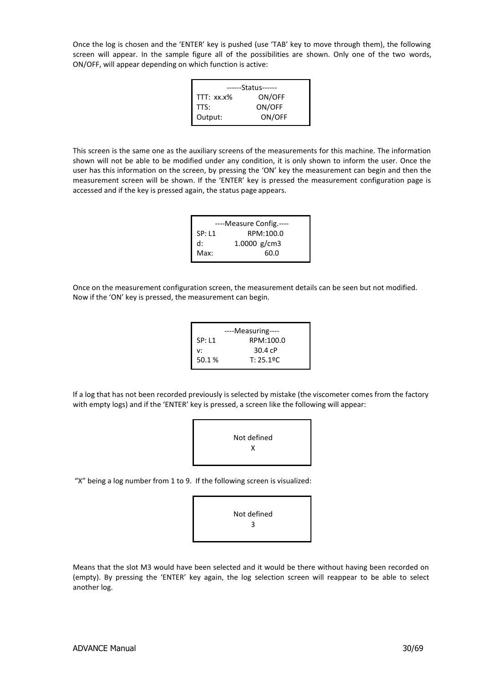Once the log is chosen and the 'ENTER' key is pushed (use 'TAB' key to move through them), the following screen will appear. In the sample figure all of the possibilities are shown. Only one of the two words, ON/OFF, will appear depending on which function is active:

| ------Status------ |        |  |
|--------------------|--------|--|
| TTT: xx.x%         | ON/OFF |  |
| TTS:               | ON/OFF |  |
| Output:            | ON/OFF |  |

This screen is the same one as the auxiliary screens of the measurements for this machine. The information shown will not be able to be modified under any condition, it is only shown to inform the user. Once the user has this information on the screen, by pressing the 'ON' key the measurement can begin and then the measurement screen will be shown. If the 'ENTER' key is pressed the measurement configuration page is accessed and if the key is pressed again, the status page appears.

| ----Measure Config.---- |                |  |
|-------------------------|----------------|--|
| <b>SP: L1</b>           | RPM:100.0      |  |
| $d$ :                   | 1.0000 $g/cm3$ |  |
| Max:                    | 60.0           |  |
|                         |                |  |

Once on the measurement configuration screen, the measurement details can be seen but not modified. Now if the 'ON' key is pressed, the measurement can begin.

|               | ----Measuring---- |
|---------------|-------------------|
| <b>SP: L1</b> | RPM:100.0         |
| v:            | 30.4cP            |
| 50.1%         | T: 25.19C         |
|               |                   |

If a log that has not been recorded previously is selected by mistake (the viscometer comes from the factory with empty logs) and if the 'ENTER' key is pressed, a screen like the following will appear:



"X" being a log number from 1 to 9. If the following screen is visualized:



Means that the slot M3 would have been selected and it would be there without having been recorded on (empty). By pressing the 'ENTER' key again, the log selection screen will reappear to be able to select another log.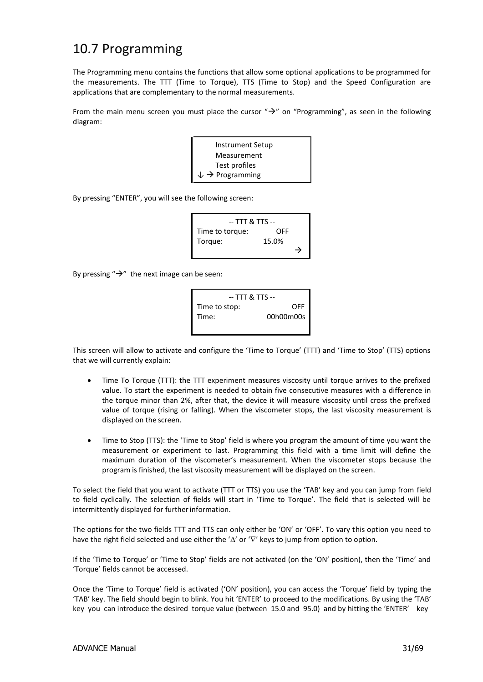### 10.7 Programming

The Programming menu contains the functions that allow some optional applications to be programmed for the measurements. The TTT (Time to Torque), TTS (Time to Stop) and the Speed Configuration are applications that are complementary to the normal measurements.

From the main menu screen you must place the cursor " $\rightarrow$ " on "Programming", as seen in the following diagram:

| Instrument Setup                       |  |
|----------------------------------------|--|
| Measurement                            |  |
| Test profiles                          |  |
| $\downarrow$ $\rightarrow$ Programming |  |

By pressing "ENTER", you will see the following screen:

| -- TTT & TTS -- |       |   |  |
|-----------------|-------|---|--|
| Time to torque: | OFF   |   |  |
| Torque:         | 15.0% |   |  |
|                 |       | → |  |

By pressing " $\rightarrow$ " the next image can be seen:



This screen will allow to activate and configure the 'Time to Torque' (TTT) and 'Time to Stop' (TTS) options that we will currently explain:

- Time To Torque (TTT): the TTT experiment measures viscosity until torque arrives to the prefixed value. To start the experiment is needed to obtain five consecutive measures with a difference in the torque minor than 2%, after that, the device it will measure viscosity until cross the prefixed value of torque (rising or falling). When the viscometer stops, the last viscosity measurement is displayed on the screen.
- Time to Stop (TTS): the 'Time to Stop' field is where you program the amount of time you want the measurement or experiment to last. Programming this field with a time limit will define the maximum duration of the viscometer's measurement. When the viscometer stops because the program is finished, the last viscosity measurement will be displayed on the screen.

To select the field that you want to activate (TTT or TTS) you use the 'TAB' key and you can jump from field to field cyclically. The selection of fields will start in 'Time to Torque'. The field that is selected will be intermittently displayed for further information.

The options for the two fields TTT and TTS can only either be 'ON' or 'OFF'. To vary this option you need to have the right field selected and use either the ' $\Delta'$  or ' $\nabla'$  keys to jump from option to option.

If the 'Time to Torque' or 'Time to Stop' fields are not activated (on the 'ON' position), then the 'Time' and 'Torque' fields cannot be accessed.

Once the 'Time to Torque' field is activated ('ON' position), you can access the 'Torque' field by typing the 'TAB' key. The field should begin to blink. You hit 'ENTER' to proceed to the modifications. By using the 'TAB' key you can introduce the desired torque value (between 15.0 and 95.0) and by hitting the 'ENTER' key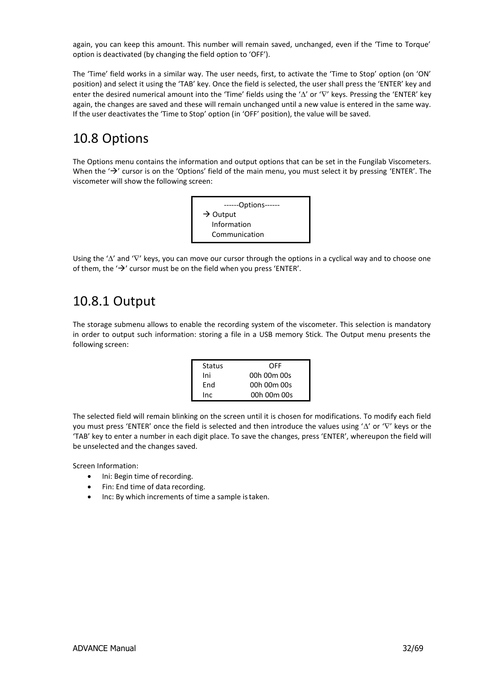again, you can keep this amount. This number will remain saved, unchanged, even if the 'Time to Torque' option is deactivated (by changing the field option to 'OFF').

The 'Time' field works in a similar way. The user needs, first, to activate the 'Time to Stop' option (on 'ON' position) and select it using the 'TAB' key. Once the field is selected, the user shall press the 'ENTER' key and enter the desired numerical amount into the 'Time' fields using the ' $\Delta'$  or ' $\nabla'$  keys. Pressing the 'ENTER' key again, the changes are saved and these will remain unchanged until a new value is entered in the same way. If the user deactivates the 'Time to Stop' option (in 'OFF' position), the value will be saved.

# <span id="page-31-0"></span>10.8 Options

The Options menu contains the information and output options that can be set in the Fungilab Viscometers. When the  $\rightarrow$  cursor is on the 'Options' field of the main menu, you must select it by pressing 'ENTER'. The viscometer will show the following screen:



Using the ' $\Delta'$  and ' $\nabla'$  keys, you can move our cursor through the options in a cyclical way and to choose one of them, the  $\rightarrow$  cursor must be on the field when you press 'ENTER'.

# <span id="page-31-1"></span>10.8.1 Output

The storage submenu allows to enable the recording system of the viscometer. This selection is mandatory in order to output such information: storing a file in a USB memory Stick. The Output menu presents the following screen:

| Status | OFF         |
|--------|-------------|
| Ini    | 00h 00m 00s |
| End    | 00h 00m 00s |
| Inc.   | 00h 00m 00s |

The selected field will remain blinking on the screen until it is chosen for modifications. To modify each field you must press 'ENTER' once the field is selected and then introduce the values using ' $\Delta'$  or ' $\nabla'$  keys or the 'TAB' key to enter a number in each digit place. To save the changes, press 'ENTER', whereupon the field will be unselected and the changes saved.

Screen Information:

- Ini: Begin time of recording.
- Fin: End time of data recording.
- Inc: By which increments of time a sample istaken.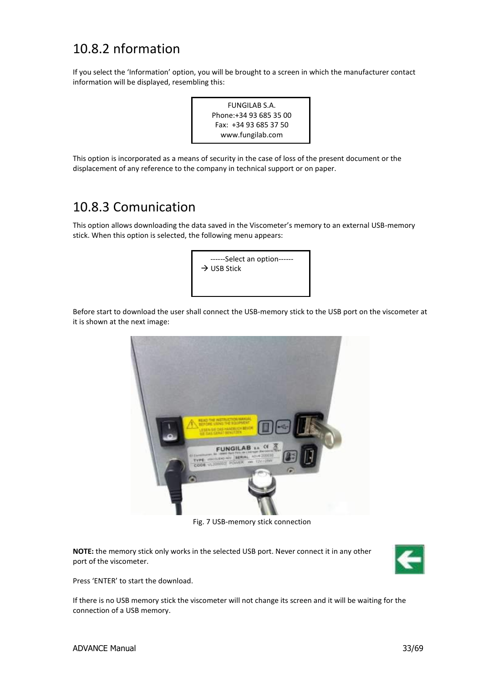### <span id="page-32-0"></span>10.8.2 nformation

If you select the 'Information' option, you will be brought to a screen in which the manufacturer contact information will be displayed, resembling this:



This option is incorporated as a means of security in the case of loss of the present document or the displacement of any reference to the company in technical support or on paper.

### <span id="page-32-1"></span>10.8.3 Comunication

This option allows downloading the data saved in the Viscometer's memory to an external USB-memory stick. When this option is selected, the following menu appears:



Before start to download the user shall connect the USB-memory stick to the USB port on the viscometer at it is shown at the next image:



Fig. 7 USB-memory stick connection

**NOTE:** the memory stick only works in the selected USB port. Never connect it in any other port of the viscometer.



Press 'ENTER' to start the download.

If there is no USB memory stick the viscometer will not change its screen and it will be waiting for the connection of a USB memory.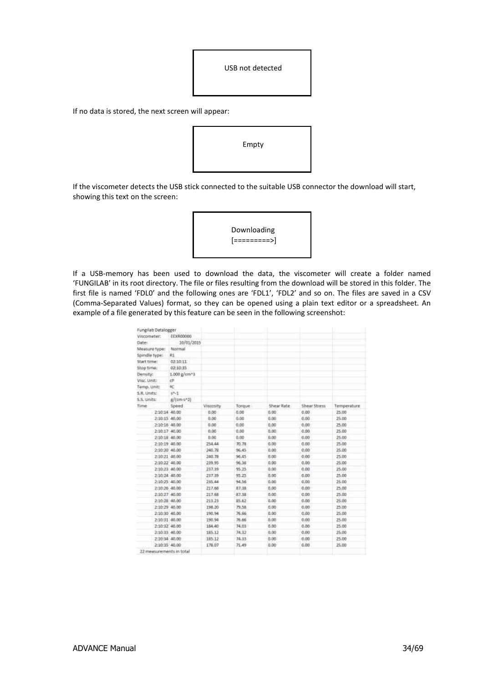| USB not detected |
|------------------|
|                  |

If no data is stored, the next screen will appear:



If the viscometer detects the USB stick connected to the suitable USB connector the download will start, showing this text on the screen:



If a USB-memory has been used to download the data, the viscometer will create a folder named 'FUNGILAB' in its root directory. The file or files resulting from the download will be stored in this folder. The first file is named 'FDL0' and the following ones are 'FDL1', 'FDL2' and so on. The files are saved in a CSV (Comma-Separated Values) format, so they can be opened using a plain text editor or a spreadsheet. An example of a file generated by this feature can be seen in the following screenshot:

| Fungilab Datalogger      |              |                  |        |            |              |             |  |
|--------------------------|--------------|------------------|--------|------------|--------------|-------------|--|
| Viscometer:              | EEXR00000    |                  |        |            |              |             |  |
| Date:                    | 10/01/2015   |                  |        |            |              |             |  |
| Measure type:            | Normal       |                  |        |            |              |             |  |
| Spindle type:            | R1           |                  |        |            |              |             |  |
| Start time:              | 02:10:11     |                  |        |            |              |             |  |
| Stop time:               | 02:10:35     |                  |        |            |              |             |  |
| Density:                 | 1.000 g/cm^3 |                  |        |            |              |             |  |
| Visc. Unit:              | c            |                  |        |            |              |             |  |
| Temp, Unit:              | 6C           |                  |        |            |              |             |  |
| S.R. Units:              | $5^{6}-1$    |                  |        |            |              |             |  |
| S.S. Units:              | g/(cm-s^2)   |                  |        |            |              |             |  |
| Time                     | Speed        | <b>Viscosity</b> | Torque | Shear Rate | Shear Stress | Temperature |  |
| 2:10:14 40:00            |              | 0.00             | 0.00   | 0.00.      | 0.00         | 25.00       |  |
| 2:10:15 40.00            |              | 0.00             | 0.00   | 0.05       | 0.00.        | 25.00       |  |
| 2:10:15 40.00            |              | 0.00             | 0.00   | 0.00       | 0.00         | 25.00       |  |
| 2:10:17 40:00            |              | 0.00             | 0.00   | 0.00.      | 0.00         | 25.00       |  |
| 2:10:18 40.00            |              | 0.00             | 0.00   | 0.00       | 0.00         | 25.00       |  |
| 2:10:19 40.00            |              | 254.44           | 70.78  | 0.00.      | 0.00         | 25.00       |  |
| 2:10:20 40.00            |              | 240.78           | 96.45  | 0,00       | 0.00         | 25.00       |  |
| 2:10:21 40.00            |              | 240.78           | 96.45  | 0.00.      | 0.06         | 25.00       |  |
| 2:10:22 40.00            |              | 239.95           | 96,36  | 0.00       | 0.00         | 25.00       |  |
| 2:10:28:40.00            |              | 237.35           | 95.25  | 0.00       | 0.00         | 25.00       |  |
| 2:10:24 40.00            |              | 237.39           | 95.25  | 0.00       | 0.00.        | 25.00       |  |
| 2:10:25 40.00            |              | 235.44           | 94.56  | 0.00       | 0.00         | 25.00       |  |
| 2:10:26 40.00            |              | 217.68           | 87.38  | 0.00       | 0.00         | 25.00       |  |
| 2:10:27 40.00            |              | 217.68           | 87.38  | 0.00.      | 0.00.        | 25.00       |  |
| 2:10:28 40.00            |              | 213.23           | 25.62  | 0.00       | 0.00         | 25.00       |  |
| 2:10:29 40.00            |              | 198.20           | 79.58  | 0.00.      | 0.00.        | 25.00       |  |
| 2:10:30 40.00            |              | 190.94           | 76.66  | 0.00       | 0.00.        | 25.00       |  |
| 2:10:31 40.00            |              | 190.94           | 76.66  | 0.00.      | 0.00         | 25.00       |  |
| 2:10:32 40.00            |              | 184.40           | 74.03  | 0.00       | 0.00         | 25.00       |  |
| 2:10:33 40.00            |              | 185.12           | 34.32  | 0.00       | 0.00         | 25.00       |  |
| 2:10:34 40.00            |              | 185.12           | 74.33  | 0.00.      | 0.00.        | 25.00       |  |
| 2:10:35 40.00            |              | 178.07           | 71.49  | 0.00       | 0.00         | 25.00       |  |
| 22 measurements in total |              |                  |        |            |              |             |  |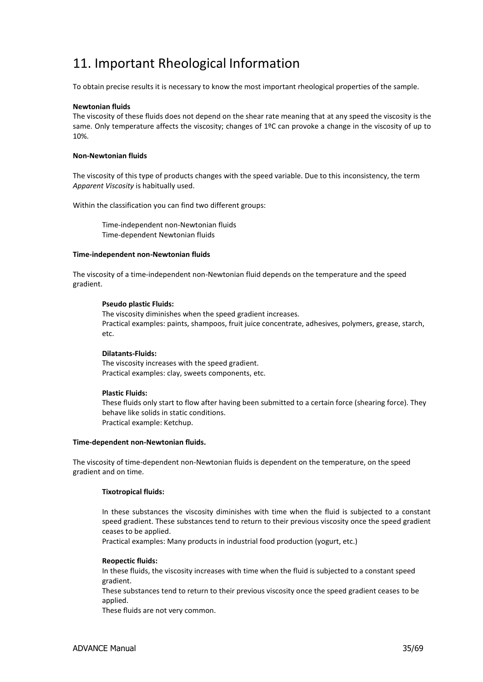# <span id="page-34-0"></span>11. Important Rheological Information

To obtain precise results it is necessary to know the most important rheological properties of the sample.

#### **Newtonian fluids**

The viscosity of these fluids does not depend on the shear rate meaning that at any speed the viscosity is the same. Only temperature affects the viscosity; changes of 1ºC can provoke a change in the viscosity of up to 10%.

### **Non-Newtonian fluids**

The viscosity of this type of products changes with the speed variable. Due to this inconsistency, the term *Apparent Viscosity* is habitually used.

Within the classification you can find two different groups:

Time-independent non-Newtonian fluids Time-dependent Newtonian fluids

#### **Time-independent non-Newtonian fluids**

The viscosity of a time-independent non-Newtonian fluid depends on the temperature and the speed gradient.

#### **Pseudo plastic Fluids:**

The viscosity diminishes when the speed gradient increases. Practical examples: paints, shampoos, fruit juice concentrate, adhesives, polymers, grease, starch, etc.

### **Dilatants-Fluids:**

The viscosity increases with the speed gradient. Practical examples: clay, sweets components, etc.

#### **Plastic Fluids:**

These fluids only start to flow after having been submitted to a certain force (shearing force). They behave like solids in static conditions. Practical example: Ketchup.

#### **Time-dependent non-Newtonian fluids.**

The viscosity of time-dependent non-Newtonian fluids is dependent on the temperature, on the speed gradient and on time.

### **Tixotropical fluids:**

In these substances the viscosity diminishes with time when the fluid is subjected to a constant speed gradient. These substances tend to return to their previous viscosity once the speed gradient ceases to be applied.

Practical examples: Many products in industrial food production (yogurt, etc.)

### **Reopectic fluids:**

In these fluids, the viscosity increases with time when the fluid is subjected to a constant speed gradient.

These substances tend to return to their previous viscosity once the speed gradient ceases to be applied.

These fluids are not very common.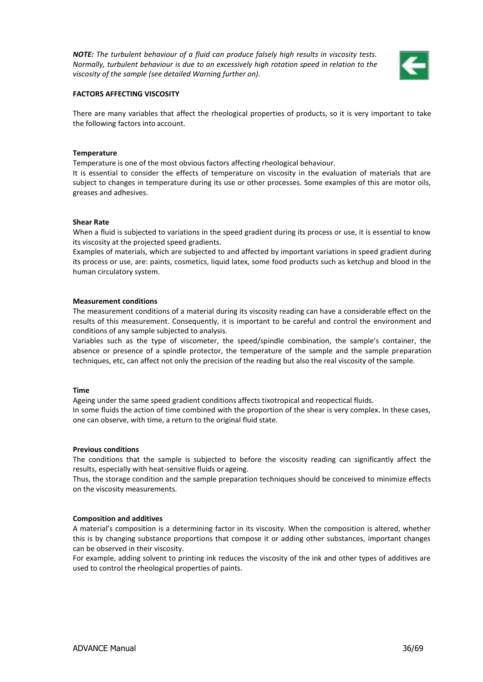*NOTE: The turbulent behaviour of a fluid can produce falsely high results in viscosity tests. Normally, turbulent behaviour is due to an excessively high rotation speed in relation to the viscosity of the sample (see detailed Warning further on).*



### **FACTORS AFFECTING VISCOSITY**

There are many variables that affect the rheological properties of products, so it is very important to take the following factors into account.

#### **Temperature**

Temperature is one of the most obvious factors affecting rheological behaviour.

It is essential to consider the effects of temperature on viscosity in the evaluation of materials that are subject to changes in temperature during its use or other processes. Some examples of this are motor oils, greases and adhesives.

#### **Shear Rate**

When a fluid is subjected to variations in the speed gradient during its process or use, it is essential to know its viscosity at the projected speed gradients.

Examples of materials, which are subjected to and affected by important variations in speed gradient during its process or use, are: paints, cosmetics, liquid latex, some food products such as ketchup and blood in the human circulatory system.

#### **Measurement conditions**

The measurement conditions of a material during its viscosity reading can have a considerable effect on the results of this measurement. Consequently, it is important to be careful and control the environment and conditions of any sample subjected to analysis.

Variables such as the type of viscometer, the speed/spindle combination, the sample's container, the absence or presence of a spindle protector, the temperature of the sample and the sample preparation techniques, etc, can affect not only the precision of the reading but also the real viscosity of the sample.

#### **Time**

Ageing under the same speed gradient conditions affects tixotropical and reopectical fluids. In some fluids the action of time combined with the proportion of the shear is very complex. In these cases, one can observe, with time, a return to the original fluid state.

#### **Previous conditions**

The conditions that the sample is subjected to before the viscosity reading can significantly affect the results, especially with heat-sensitive fluids or ageing.

Thus, the storage condition and the sample preparation techniques should be conceived to minimize effects on the viscosity measurements.

#### **Composition and additives**

A material's composition is a determining factor in its viscosity. When the composition is altered, whether this is by changing substance proportions that compose it or adding other substances, important changes can be observed in their viscosity.

For example, adding solvent to printing ink reduces the viscosity of the ink and other types of additives are used to control the rheological properties of paints.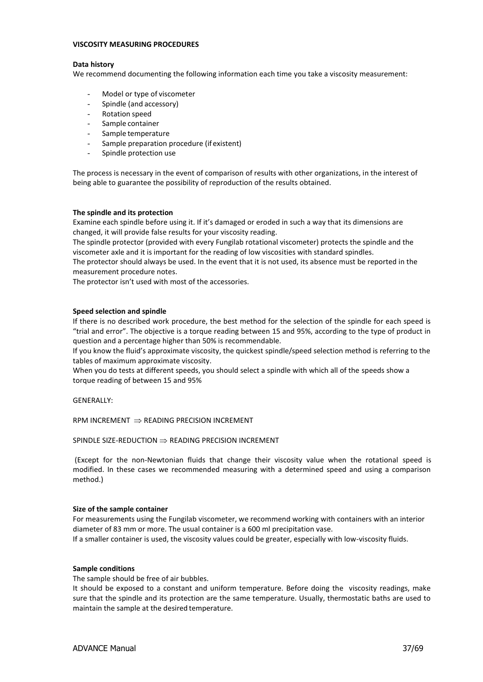#### **VISCOSITY MEASURING PROCEDURES**

#### **Data history**

We recommend documenting the following information each time you take a viscosity measurement:

- Model or type of viscometer
- Spindle (and accessory)
- Rotation speed
- Sample container
- Sample temperature
- Sample preparation procedure (if existent)
- Spindle protection use

The process is necessary in the event of comparison of results with other organizations, in the interest of being able to guarantee the possibility of reproduction of the results obtained.

#### **The spindle and its protection**

Examine each spindle before using it. If it's damaged or eroded in such a way that its dimensions are changed, it will provide false results for your viscosity reading.

The spindle protector (provided with every Fungilab rotational viscometer) protects the spindle and the viscometer axle and it is important for the reading of low viscosities with standard spindles.

The protector should always be used. In the event that it is not used, its absence must be reported in the measurement procedure notes.

The protector isn't used with most of the accessories.

#### **Speed selection and spindle**

If there is no described work procedure, the best method for the selection of the spindle for each speed is "trial and error". The objective is a torque reading between 15 and 95%, according to the type of product in question and a percentage higher than 50% is recommendable.

If you know the fluid's approximate viscosity, the quickest spindle/speed selection method is referring to the tables of maximum approximate viscosity.

When you do tests at different speeds, you should select a spindle with which all of the speeds show a torque reading of between 15 and 95%

GENERALLY:

RPM INCREMENT  $\Rightarrow$  READING PRECISION INCREMENT

### SPINDLE SIZE-REDUCTION  $\Rightarrow$  READING PRECISION INCREMENT

(Except for the non-Newtonian fluids that change their viscosity value when the rotational speed is modified. In these cases we recommended measuring with a determined speed and using a comparison method.)

#### **Size of the sample container**

For measurements using the Fungilab viscometer, we recommend working with containers with an interior diameter of 83 mm or more. The usual container is a 600 ml precipitation vase. If a smaller container is used, the viscosity values could be greater, especially with low-viscosity fluids.

#### **Sample conditions**

The sample should be free of air bubbles.

It should be exposed to a constant and uniform temperature. Before doing the viscosity readings, make sure that the spindle and its protection are the same temperature. Usually, thermostatic baths are used to maintain the sample at the desired temperature.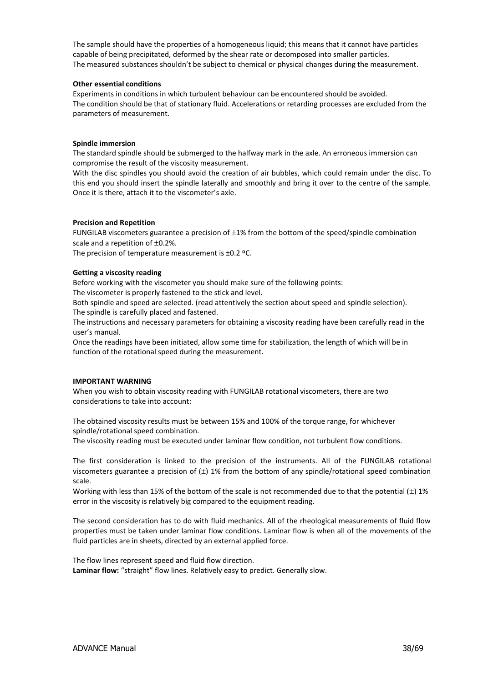The sample should have the properties of a homogeneous liquid; this means that it cannot have particles capable of being precipitated, deformed by the shear rate or decomposed into smaller particles. The measured substances shouldn't be subject to chemical or physical changes during the measurement.

### **Other essential conditions**

Experiments in conditions in which turbulent behaviour can be encountered should be avoided. The condition should be that of stationary fluid. Accelerations or retarding processes are excluded from the parameters of measurement.

### **Spindle immersion**

The standard spindle should be submerged to the halfway mark in the axle. An erroneous immersion can compromise the result of the viscosity measurement.

With the disc spindles you should avoid the creation of air bubbles, which could remain under the disc. To this end you should insert the spindle laterally and smoothly and bring it over to the centre of the sample. Once it is there, attach it to the viscometer's axle.

#### **Precision and Repetition**

FUNGILAB viscometers guarantee a precision of  $\pm 1\%$  from the bottom of the speed/spindle combination scale and a repetition of  $\pm 0.2$ %.

The precision of temperature measurement is ±0.2 °C.

### **Getting a viscosity reading**

Before working with the viscometer you should make sure of the following points:

The viscometer is properly fastened to the stick and level.

Both spindle and speed are selected. (read attentively the section about speed and spindle selection). The spindle is carefully placed and fastened.

The instructions and necessary parameters for obtaining a viscosity reading have been carefully read in the user's manual.

Once the readings have been initiated, allow some time for stabilization, the length of which will be in function of the rotational speed during the measurement.

### **IMPORTANT WARNING**

When you wish to obtain viscosity reading with FUNGILAB rotational viscometers, there are two considerations to take into account:

The obtained viscosity results must be between 15% and 100% of the torque range, for whichever spindle/rotational speed combination.

The viscosity reading must be executed under laminar flow condition, not turbulent flow conditions.

The first consideration is linked to the precision of the instruments. All of the FUNGILAB rotational viscometers guarantee a precision of  $(\pm)$  1% from the bottom of any spindle/rotational speed combination scale.

Working with less than 15% of the bottom of the scale is not recommended due to that the potential  $(\pm)$  1% error in the viscosity is relatively big compared to the equipment reading.

The second consideration has to do with fluid mechanics. All of the rheological measurements of fluid flow properties must be taken under laminar flow conditions. Laminar flow is when all of the movements of the fluid particles are in sheets, directed by an external applied force.

The flow lines represent speed and fluid flow direction. **Laminar flow:** "straight" flow lines. Relatively easy to predict. Generally slow.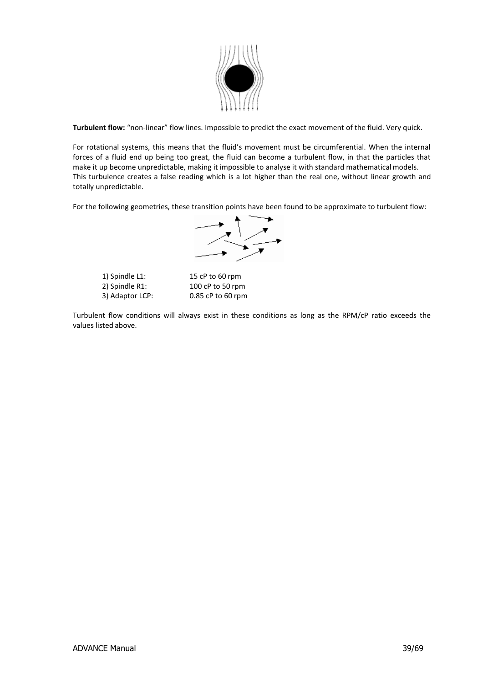

**Turbulent flow:** "non-linear" flow lines. Impossible to predict the exact movement of the fluid. Very quick.

For rotational systems, this means that the fluid's movement must be circumferential. When the internal forces of a fluid end up being too great, the fluid can become a turbulent flow, in that the particles that make it up become unpredictable, making it impossible to analyse it with standard mathematical models. This turbulence creates a false reading which is a lot higher than the real one, without linear growth and totally unpredictable.

For the following geometries, these transition points have been found to be approximate to turbulent flow:



1) Spindle L1: 15 cP to 60 rpm 2) Spindle R1: 100 cP to 50 rpm 3) Adaptor LCP: 0.85 cP to 60 rpm

Turbulent flow conditions will always exist in these conditions as long as the RPM/cP ratio exceeds the values listed above.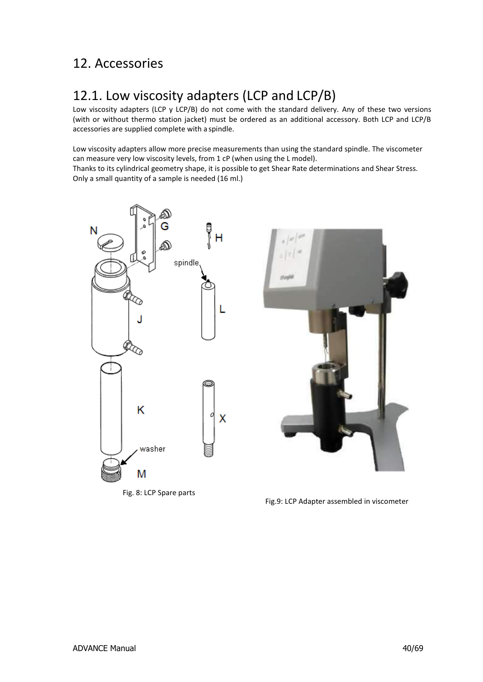# <span id="page-39-0"></span>12. Accessories

# <span id="page-39-1"></span>12.1. Low viscosity adapters (LCP and LCP/B)

Low viscosity adapters (LCP y LCP/B) do not come with the standard delivery. Any of these two versions (with or without thermo station jacket) must be ordered as an additional accessory. Both LCP and LCP/B accessories are supplied complete with a spindle.

Low viscosity adapters allow more precise measurements than using the standard spindle. The viscometer can measure very low viscosity levels, from 1 cP (when using the L model). Thanks to its cylindrical geometry shape, it is possible to get Shear Rate determinations and Shear Stress.

Only a small quantity of a sample is needed (16 ml.)



Fig. 8: LCP Spare parts



Fig.9: LCP Adapter assembled in viscometer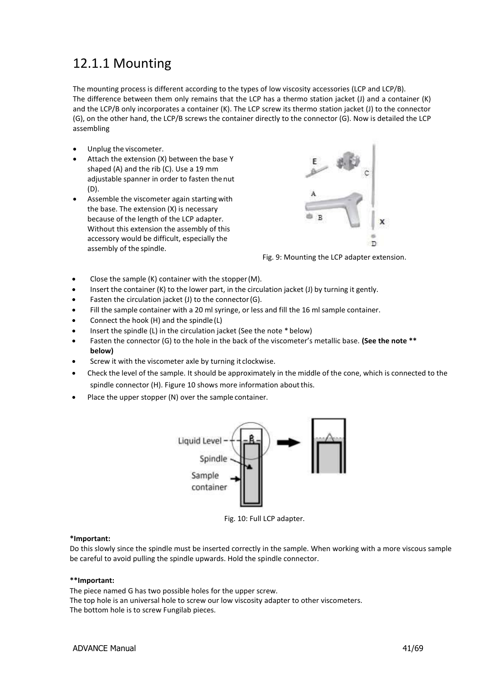# <span id="page-40-0"></span>12.1.1 Mounting

The mounting process is different according to the types of low viscosity accessories (LCP and LCP/B). The difference between them only remains that the LCP has a thermo station jacket (J) and a container (K) and the LCP/B only incorporates a container (K). The LCP screw its thermo station jacket (J) to the connector (G), on the other hand, the LCP/B screws the container directly to the connector (G). Now is detailed the LCP assembling

- Unplug the viscometer.
- Attach the extension (X) between the base Y shaped (A) and the rib (C). Use a 19 mm adjustable spanner in order to fasten the nut (D).
- Assemble the viscometer again starting with the base. The extension (X) is necessary because of the length of the LCP adapter. Without this extension the assembly of this accessory would be difficult, especially the assembly of the spindle.



Fig. 9: Mounting the LCP adapter extension.

- Close the sample (K) container with the stopper (M).
- Insert the container (K) to the lower part, in the circulation jacket (J) by turning it gently.
- Fasten the circulation jacket (J) to the connector(G).
- Fill the sample container with a 20 ml syringe, or less and fill the 16 ml sample container.
- Connect the hook (H) and the spindle(L)
- Insert the spindle (L) in the circulation jacket (See the note \* below)
- Fasten the connector (G) to the hole in the back of the viscometer's metallic base. **(See the note \*\* below)**
- Screw it with the viscometer axle by turning it clockwise.
- Check the level of the sample. It should be approximately in the middle of the cone, which is connected to the spindle connector (H). Figure 10 shows more information about this.
- Place the upper stopper (N) over the sample container.



Fig. 10: Full LCP adapter.

### **\*Important:**

Do this slowly since the spindle must be inserted correctly in the sample. When working with a more viscous sample be careful to avoid pulling the spindle upwards. Hold the spindle connector.

#### **\*\*Important:**

The piece named G has two possible holes for the upper screw.

The top hole is an universal hole to screw our low viscosity adapter to other viscometers. The bottom hole is to screw Fungilab pieces.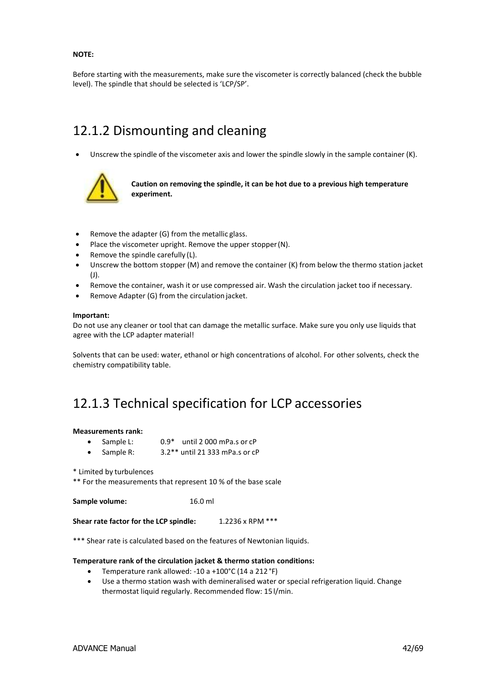### **NOTE:**

Before starting with the measurements, make sure the viscometer is correctly balanced (check the bubble level). The spindle that should be selected is 'LCP/SP'.

### <span id="page-41-0"></span>12.1.2 Dismounting and cleaning

Unscrew the spindle of the viscometer axis and lower the spindle slowly in the sample container (K).



**Caution on removing the spindle, it can be hot due to a previous high temperature experiment.**

- Remove the adapter (G) from the metallic glass.
- Place the viscometer upright. Remove the upper stopper(N).
- Remove the spindle carefully (L).
- Unscrew the bottom stopper (M) and remove the container (K) from below the thermo station jacket (J).
- Remove the container, wash it or use compressed air. Wash the circulation jacket too if necessary.
- Remove Adapter (G) from the circulation jacket.

#### **Important:**

Do not use any cleaner or tool that can damage the metallic surface. Make sure you only use liquids that agree with the LCP adapter material!

Solvents that can be used: water, ethanol or high concentrations of alcohol. For other solvents, check the chemistry compatibility table.

### <span id="page-41-1"></span>12.1.3 Technical specification for LCP accessories

#### **Measurements rank:**

- Sample L: 0.9\* until 2 000 mPa.s or cP
- Sample R: 3.2\*\* until 21 333 mPa.s or cP

\* Limited by turbulences

\*\* For the measurements that represent 10 % of the base scale

**Sample volume:** 16.0 ml

**Shear rate factor for the LCP spindle:** 1.2236 x RPM \*\*\*

\*\*\* Shear rate is calculated based on the features of Newtonian liquids.

#### **Temperature rank of the circulation jacket & thermo station conditions:**

- Temperature rank allowed: -10 a +100°C (14 a 212 °F)
- Use a thermo station wash with demineralised water or special refrigeration liquid. Change thermostat liquid regularly. Recommended flow: 15 l/min.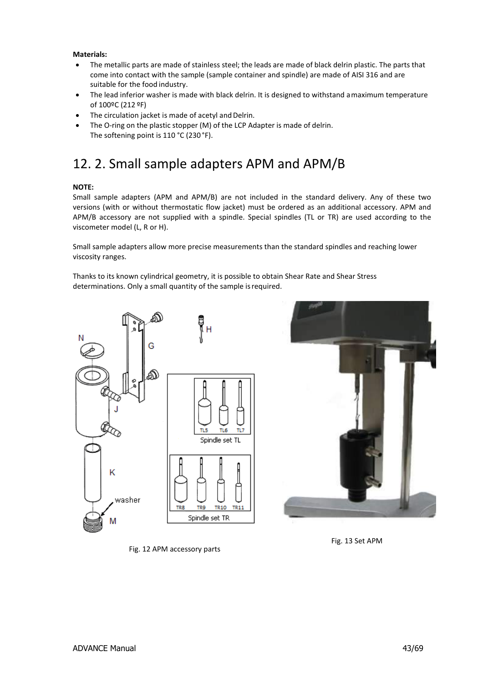### **Materials:**

- The metallic parts are made of stainless steel; the leads are made of black delrin plastic. The parts that come into contact with the sample (sample container and spindle) are made of AISI 316 and are suitable for the food industry.
- The lead inferior washer is made with black delrin. It is designed to withstand a maximum temperature of 100ºC (212 ºF)
- The circulation jacket is made of acetyl and Delrin.
- The O-ring on the plastic stopper (M) of the LCP Adapter is made of delrin. The softening point is 110 °C (230 °F).

### <span id="page-42-0"></span>12. 2. Small sample adapters APM and APM/B

### **NOTE:**

Small sample adapters (APM and APM/B) are not included in the standard delivery. Any of these two versions (with or without thermostatic flow jacket) must be ordered as an additional accessory. APM and APM/B accessory are not supplied with a spindle. Special spindles (TL or TR) are used according to the viscometer model (L, R or H).

Small sample adapters allow more precise measurements than the standard spindles and reaching lower viscosity ranges.

Thanks to its known cylindrical geometry, it is possible to obtain Shear Rate and Shear Stress determinations. Only a small quantity of the sample isrequired.







Fig. 12 APM accessory parts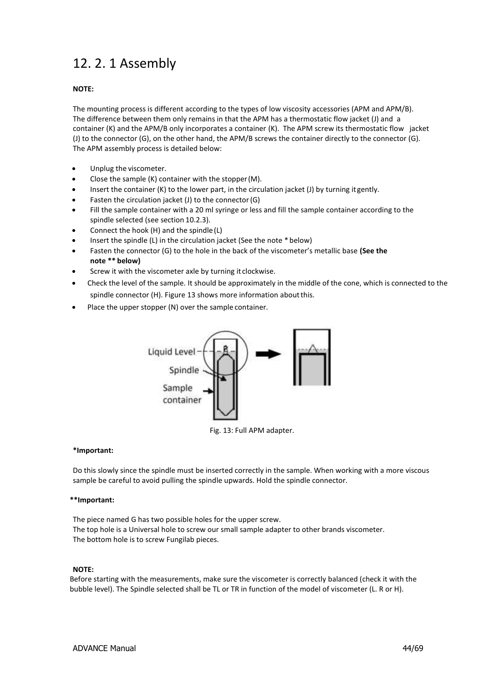# <span id="page-43-0"></span>12. 2. 1 Assembly

### **NOTE:**

The mounting process is different according to the types of low viscosity accessories (APM and APM/B). The difference between them only remains in that the APM has a thermostatic flow jacket (J) and a container (K) and the APM/B only incorporates a container (K). The APM screw its thermostatic flow jacket (J) to the connector (G), on the other hand, the APM/B screws the container directly to the connector (G). The APM assembly process is detailed below:

- Unplug the viscometer.
- Close the sample (K) container with the stopper(M).
- Insert the container (K) to the lower part, in the circulation jacket (J) by turning it gently.
- Fasten the circulation jacket (J) to the connector(G)
- Fill the sample container with a 20 ml syringe or less and fill the sample container according to the spindle selected (see section 10.2.3).
- Connect the hook (H) and the spindle(L)
- Insert the spindle (L) in the circulation jacket (See the note \* below)
- Fasten the connector (G) to the hole in the back of the viscometer's metallic base **(See the note \*\* below)**
- Screw it with the viscometer axle by turning it clockwise.
- Check the level of the sample. It should be approximately in the middle of the cone, which is connected to the spindle connector (H). Figure 13 shows more information aboutthis.
- Place the upper stopper (N) over the sample container.



Fig. 13: Full APM adapter.

### **\*Important:**

Do this slowly since the spindle must be inserted correctly in the sample. When working with a more viscous sample be careful to avoid pulling the spindle upwards. Hold the spindle connector.

### **\*\*Important:**

The piece named G has two possible holes for the upper screw. The top hole is a Universal hole to screw our small sample adapter to other brands viscometer. The bottom hole is to screw Fungilab pieces.

### **NOTE:**

Before starting with the measurements, make sure the viscometer is correctly balanced (check it with the bubble level). The Spindle selected shall be TL or TR in function of the model of viscometer (L. R or H).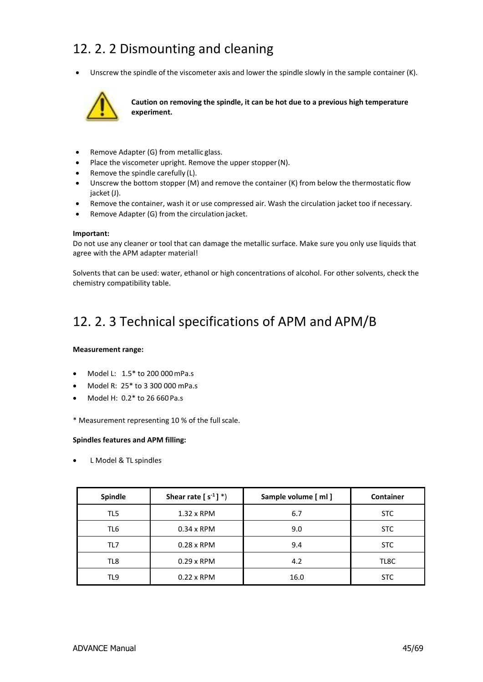# <span id="page-44-0"></span>12. 2. 2 Dismounting and cleaning

Unscrew the spindle of the viscometer axis and lower the spindle slowly in the sample container (K).



**Caution on removing the spindle, it can be hot due to a previous high temperature experiment.**

- Remove Adapter (G) from metallic glass.
- Place the viscometer upright. Remove the upper stopper(N).
- Remove the spindle carefully (L).
- Unscrew the bottom stopper (M) and remove the container (K) from below the thermostatic flow jacket (J).
- Remove the container, wash it or use compressed air. Wash the circulation jacket too if necessary.
- Remove Adapter (G) from the circulation jacket.

#### **Important:**

Do not use any cleaner or tool that can damage the metallic surface. Make sure you only use liquids that agree with the APM adapter material!

Solvents that can be used: water, ethanol or high concentrations of alcohol. For other solvents, check the chemistry compatibility table.

### <span id="page-44-1"></span>12. 2. 3 Technical specifications of APM and APM/B

### **Measurement range:**

- Model L: 1.5\* to 200 000mPa.s
- Model R: 25\* to 3 300 000 mPa.s
- Model H: 0.2\* to 26 660Pa.s

\* Measurement representing 10 % of the fullscale.

### **Spindles features and APM filling:**

L Model & TL spindles

| Spindle | Shear rate $[s^{-1}]^*$ | Sample volume [ ml ] | <b>Container</b> |
|---------|-------------------------|----------------------|------------------|
| TL5     | $1.32 \times$ RPM       | 6.7                  | STC              |
| TL6     | $0.34 \times$ RPM       | 9.0                  | <b>STC</b>       |
| TL7     | $0.28 \times$ RPM       | 9.4                  | <b>STC</b>       |
| TL8     | $0.29 \times$ RPM       | 4.2                  | TL8C             |
| TL9     | $0.22 \times$ RPM       | 16.0                 | <b>STC</b>       |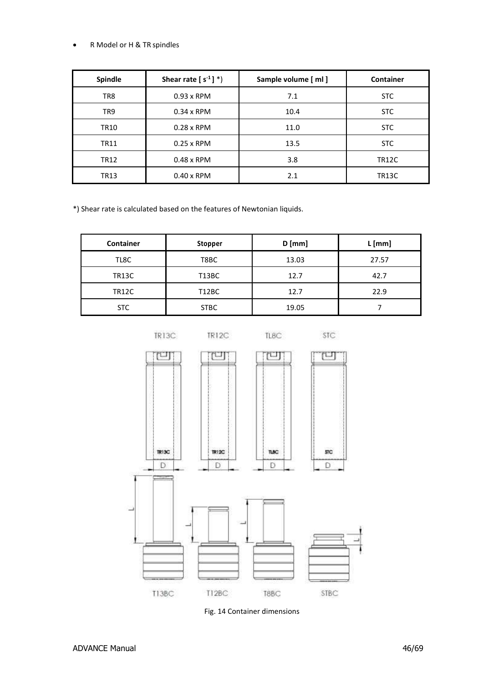### R Model or H & TR spindles

| <b>Spindle</b> | Shear rate $[s^{-1}]^*$ | Sample volume [ ml ] | <b>Container</b> |
|----------------|-------------------------|----------------------|------------------|
| TR8            | $0.93 \times$ RPM       | 7.1                  | <b>STC</b>       |
| TR9            | $0.34 \times$ RPM       | 10.4                 | <b>STC</b>       |
| TR10           | $0.28 \times$ RPM       | 11.0                 | <b>STC</b>       |
| <b>TR11</b>    | $0.25 \times$ RPM       | 13.5                 | <b>STC</b>       |
| TR12           | $0.48 \times$ RPM       | 3.8                  | TR12C            |
| TR13           | $0.40 \times$ RPM       | 2.1                  | <b>TR13C</b>     |

\*) Shear rate is calculated based on the features of Newtonian liquids.

| <b>Container</b> | <b>Stopper</b> | $D$ [mm] | L[mm] |
|------------------|----------------|----------|-------|
| TL8C             | T8BC           | 13.03    | 27.57 |
| <b>TR13C</b>     | T13BC          | 12.7     | 42.7  |
| <b>TR12C</b>     | <b>T12BC</b>   | 12.7     | 22.9  |
| <b>STC</b>       | <b>STBC</b>    | 19.05    |       |



Fig. 14 Container dimensions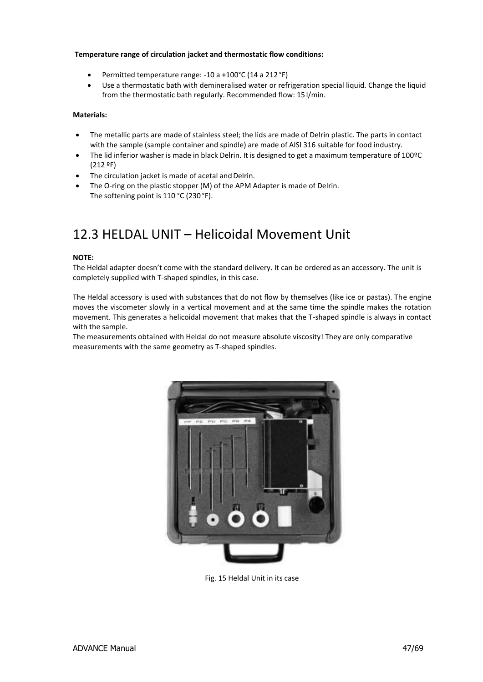### **Temperature range of circulation jacket and thermostatic flow conditions:**

- Permitted temperature range: -10 a +100°C (14 a 212 °F)
- Use a thermostatic bath with demineralised water or refrigeration special liquid. Change the liquid from the thermostatic bath regularly. Recommended flow: 15 l/min.

### **Materials:**

- The metallic parts are made of stainless steel; the lids are made of Delrin plastic. The parts in contact with the sample (sample container and spindle) are made of AISI 316 suitable for food industry.
- The lid inferior washer is made in black Delrin. It is designed to get a maximum temperature of 100ºC (212 ºF)
- The circulation jacket is made of acetal and Delrin.
- The O-ring on the plastic stopper (M) of the APM Adapter is made of Delrin. The softening point is 110 °C (230 °F).

### <span id="page-46-0"></span>12.3 HELDAL UNIT – Helicoidal Movement Unit

### **NOTE:**

The Heldal adapter doesn't come with the standard delivery. It can be ordered as an accessory. The unit is completely supplied with T-shaped spindles, in this case.

The Heldal accessory is used with substances that do not flow by themselves (like ice or pastas). The engine moves the viscometer slowly in a vertical movement and at the same time the spindle makes the rotation movement. This generates a helicoidal movement that makes that the T-shaped spindle is always in contact with the sample.

The measurements obtained with Heldal do not measure absolute viscosity! They are only comparative measurements with the same geometry as T-shaped spindles.



Fig. 15 Heldal Unit in its case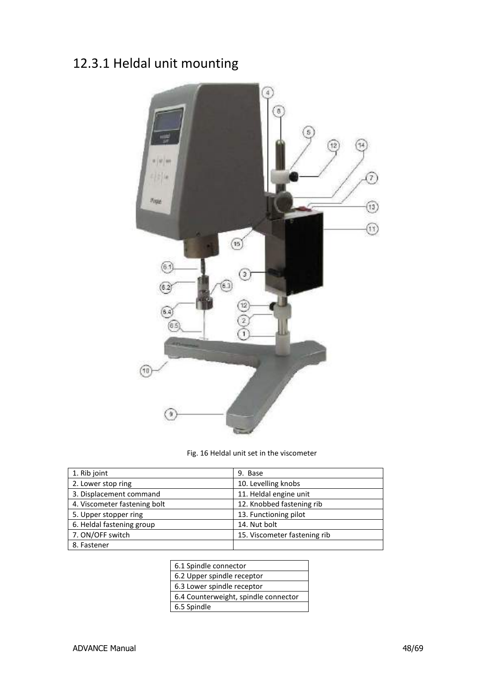# <span id="page-47-0"></span>12.3.1 Heldal unit mounting



Fig. 16 Heldal unit set in the viscometer

| 1. Rib joint                 | 9. Base                      |
|------------------------------|------------------------------|
| 2. Lower stop ring           | 10. Levelling knobs          |
| 3. Displacement command      | 11. Heldal engine unit       |
| 4. Viscometer fastening bolt | 12. Knobbed fastening rib    |
| 5. Upper stopper ring        | 13. Functioning pilot        |
| 6. Heldal fastening group    | 14. Nut bolt                 |
| 7. ON/OFF switch             | 15. Viscometer fastening rib |
| 8. Fastener                  |                              |

| 6.1 Spindle connector                |
|--------------------------------------|
| 6.2 Upper spindle receptor           |
| 6.3 Lower spindle receptor           |
| 6.4 Counterweight, spindle connector |
| 6.5 Spindle                          |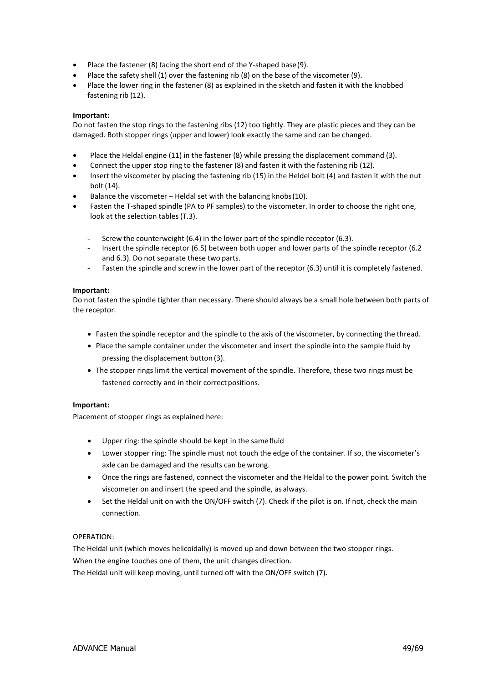- Place the fastener (8) facing the short end of the Y-shaped base(9).
- Place the safety shell (1) over the fastening rib (8) on the base of the viscometer (9).
- Place the lower ring in the fastener (8) as explained in the sketch and fasten it with the knobbed fastening rib (12).

### **Important:**

Do not fasten the stop rings to the fastening ribs (12) too tightly. They are plastic pieces and they can be damaged. Both stopper rings (upper and lower) look exactly the same and can be changed.

- Place the Heldal engine (11) in the fastener (8) while pressing the displacement command (3).
- Connect the upper stop ring to the fastener (8) and fasten it with the fastening rib (12).
- Insert the viscometer by placing the fastening rib (15) in the Heldel bolt (4) and fasten it with the nut bolt (14).
- Balance the viscometer Heldal set with the balancing knobs(10).
- Fasten the T-shaped spindle (PA to PF samples) to the viscometer. In order to choose the right one, look at the selection tables(T.3).
	- Screw the counterweight (6.4) in the lower part of the spindle receptor (6.3).
	- Insert the spindle receptor (6.5) between both upper and lower parts of the spindle receptor (6.2) and 6.3). Do not separate these two parts.
	- Fasten the spindle and screw in the lower part of the receptor (6.3) until it is completely fastened.

#### **Important:**

Do not fasten the spindle tighter than necessary. There should always be a small hole between both parts of the receptor.

- Fasten the spindle receptor and the spindle to the axis of the viscometer, by connecting the thread.
- Place the sample container under the viscometer and insert the spindle into the sample fluid by pressing the displacement button (3).
- The stopper rings limit the vertical movement of the spindle. Therefore, these two rings must be fastened correctly and in their correct positions.

### **Important:**

Placement of stopper rings as explained here:

- Upper ring: the spindle should be kept in the samefluid
- Lower stopper ring: The spindle must not touch the edge of the container. If so, the viscometer's axle can be damaged and the results can be wrong.
- Once the rings are fastened, connect the viscometer and the Heldal to the power point. Switch the viscometer on and insert the speed and the spindle, as always.
- Set the Heldal unit on with the ON/OFF switch (7). Check if the pilot is on. If not, check the main connection.

### OPERATION:

The Heldal unit (which moves helicoidally) is moved up and down between the two stopper rings. When the engine touches one of them, the unit changes direction.

The Heldal unit will keep moving, until turned off with the ON/OFF switch (7).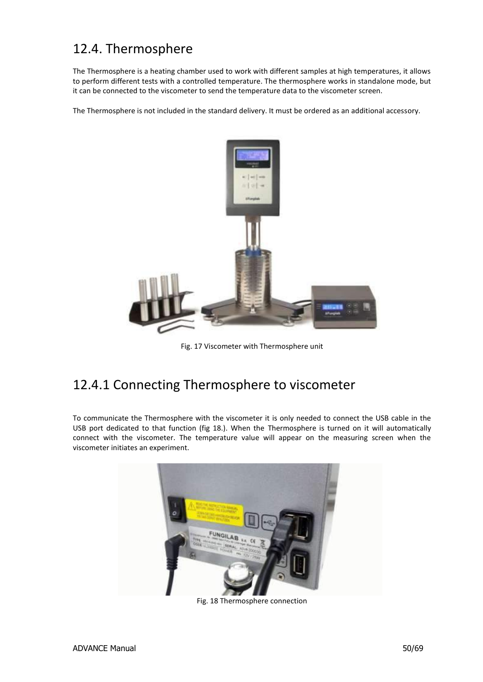# <span id="page-49-0"></span>12.4. Thermosphere

The Thermosphere is a heating chamber used to work with different samples at high temperatures, it allows to perform different tests with a controlled temperature. The thermosphere works in standalone mode, but it can be connected to the viscometer to send the temperature data to the viscometer screen.

The Thermosphere is not included in the standard delivery. It must be ordered as an additional accessory.



Fig. 17 Viscometer with Thermosphere unit

# <span id="page-49-1"></span>12.4.1 Connecting Thermosphere to viscometer

To communicate the Thermosphere with the viscometer it is only needed to connect the USB cable in the USB port dedicated to that function (fig 18.). When the Thermosphere is turned on it will automatically connect with the viscometer. The temperature value will appear on the measuring screen when the viscometer initiates an experiment.



Fig. 18 Thermosphere connection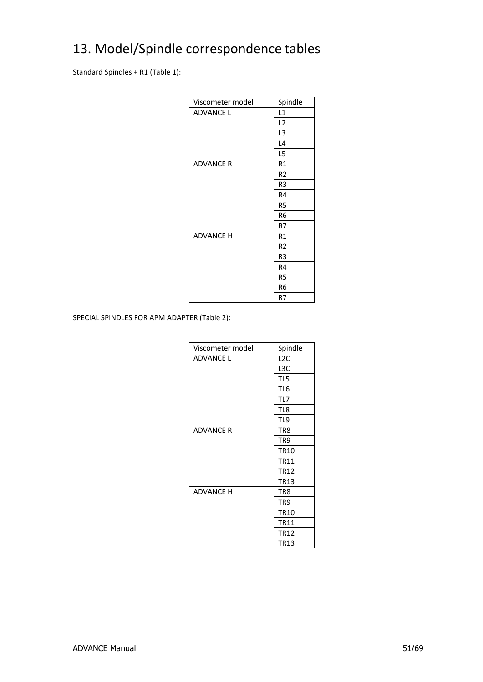# <span id="page-50-0"></span>13. Model/Spindle correspondence tables

Standard Spindles + R1 (Table 1):

| Viscometer model | Spindle        |
|------------------|----------------|
| <b>ADVANCE L</b> | L1             |
|                  | L2             |
|                  | L <sub>3</sub> |
|                  | L4             |
|                  | L5             |
| <b>ADVANCE R</b> | R1             |
|                  | R <sub>2</sub> |
|                  | R <sub>3</sub> |
|                  | R4             |
|                  | R5             |
|                  | R <sub>6</sub> |
|                  | R7             |
| <b>ADVANCE H</b> | R1             |
|                  | R <sub>2</sub> |
|                  | R3             |
|                  | R4             |
|                  | R <sub>5</sub> |
|                  | R6             |
|                  | R7             |

SPECIAL SPINDLES FOR APM ADAPTER (Table 2):

| Viscometer model | Spindle         |
|------------------|-----------------|
| <b>ADVANCE L</b> | L2C             |
|                  | L3C             |
|                  | TL5             |
|                  | TL6             |
|                  | TL7             |
|                  | TL8             |
|                  | TL9             |
| <b>ADVANCE R</b> | TR8             |
|                  | TR9             |
|                  | <b>TR10</b>     |
|                  | <b>TR11</b>     |
|                  | <b>TR12</b>     |
|                  | <b>TR13</b>     |
| <b>ADVANCE H</b> | TR8             |
|                  | TR <sub>9</sub> |
|                  | <b>TR10</b>     |
|                  | <b>TR11</b>     |
|                  | <b>TR12</b>     |
|                  | <b>TR13</b>     |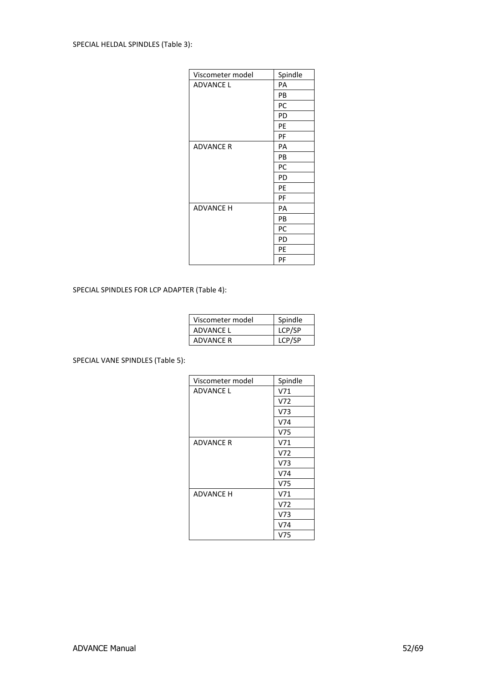| Viscometer model | Spindle |
|------------------|---------|
| <b>ADVANCE L</b> | PA      |
|                  | PB      |
|                  | PC      |
|                  | PD      |
|                  | PE      |
|                  | PF      |
| <b>ADVANCE R</b> | PA      |
|                  | PB      |
|                  | PC      |
|                  | PD      |
|                  | PE      |
|                  | PF      |
| <b>ADVANCE H</b> | PA      |
|                  | PB      |
|                  | PC      |
|                  | PD      |
|                  | PE      |
|                  | PF      |

SPECIAL SPINDLES FOR LCP ADAPTER (Table 4):

| Viscometer model | Spindle |
|------------------|---------|
| ADVANCE L        | LCP/SP  |
| ADVANCE R        | LCP/SP  |

SPECIAL VANE SPINDLES (Table 5):

| Viscometer model | Spindle         |
|------------------|-----------------|
| <b>ADVANCE L</b> | V71             |
|                  | V72             |
|                  | V73             |
|                  | V74             |
|                  | V75             |
| ADVANCE R        | V71             |
|                  | V72             |
|                  | V73             |
|                  | V74             |
|                  | V75             |
| <b>ADVANCE H</b> | V71             |
|                  | V72             |
|                  | V <sub>73</sub> |
|                  | V74             |
|                  | V75             |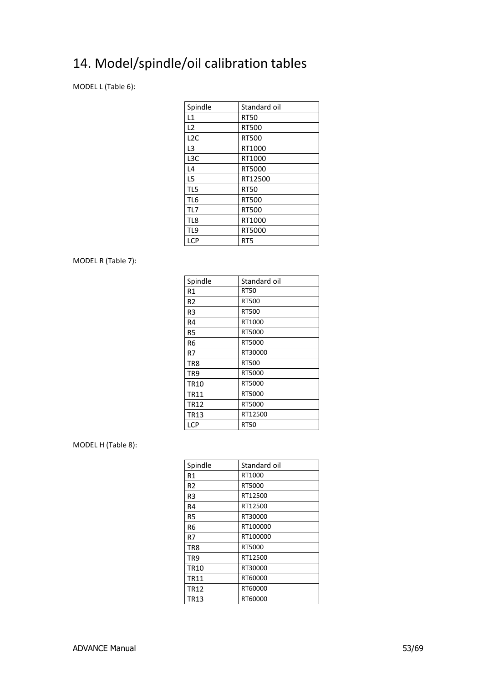# <span id="page-52-0"></span>14. Model/spindle/oil calibration tables

MODEL L (Table 6):

| Spindle          | Standard oil    |
|------------------|-----------------|
| L1               | <b>RT50</b>     |
| L <sub>2</sub>   | RT500           |
| L <sub>2</sub> C | RT500           |
| L3               | RT1000          |
| L3C              | RT1000          |
| L4               | RT5000          |
| L5               | RT12500         |
| TL5              | <b>RT50</b>     |
| TL <sub>6</sub>  | <b>RT500</b>    |
| TL7              | <b>RT500</b>    |
| TL8              | RT1000          |
| TL <sub>9</sub>  | RT5000          |
| LCP              | RT <sub>5</sub> |

### MODEL R (Table 7):

| Spindle         | Standard oil |
|-----------------|--------------|
| R1              | <b>RT50</b>  |
| R <sub>2</sub>  | RT500        |
| R <sub>3</sub>  | RT500        |
| R4              | RT1000       |
| R <sub>5</sub>  | RT5000       |
| R6              | RT5000       |
| R7              | RT30000      |
| TR8             | RT500        |
| TR <sub>9</sub> | RT5000       |
| <b>TR10</b>     | RT5000       |
| <b>TR11</b>     | RT5000       |
| <b>TR12</b>     | RT5000       |
| <b>TR13</b>     | RT12500      |
| LCP             | <b>RT50</b>  |

### MODEL H (Table 8):

| Spindle        | Standard oil |  |  |
|----------------|--------------|--|--|
| R1             | RT1000       |  |  |
| R <sub>2</sub> | RT5000       |  |  |
| R3             | RT12500      |  |  |
| R4             | RT12500      |  |  |
| R <sub>5</sub> | RT30000      |  |  |
| R <sub>6</sub> | RT100000     |  |  |
| R7             | RT100000     |  |  |
| TR8            | RT5000       |  |  |
| TR9            | RT12500      |  |  |
| <b>TR10</b>    | RT30000      |  |  |
| <b>TR11</b>    | RT60000      |  |  |
| <b>TR12</b>    | RT60000      |  |  |
| TR13           | RT60000      |  |  |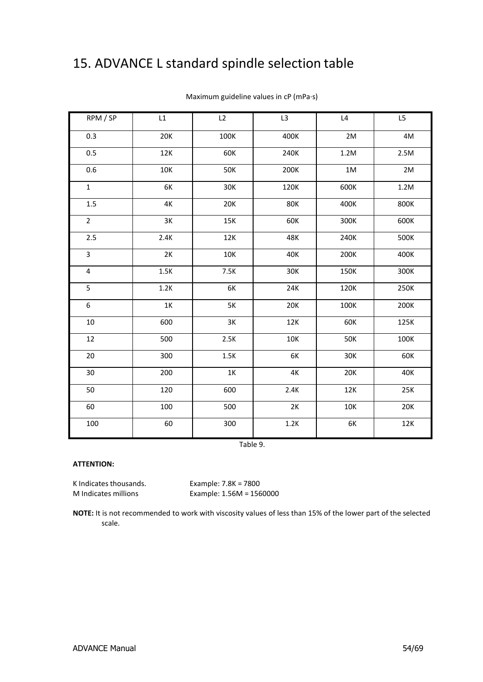# <span id="page-53-0"></span>15. ADVANCE L standard spindle selection table

| RPM / SP       | L1         | L2         | L3         | L4         | L5   |
|----------------|------------|------------|------------|------------|------|
| 0.3            | <b>20K</b> | 100K       | 400K       | 2M         | 4M   |
| 0.5            | 12K        | 60K        | 240K       | 1.2M       | 2.5M |
| 0.6            | <b>10K</b> | <b>50K</b> | 200K       | 1M         | 2M   |
| $\mathbf{1}$   | 6K         | 30K        | 120K       | 600K       | 1.2M |
| 1.5            | 4K         | 20K        | <b>80K</b> | 400K       | 800K |
| $\overline{2}$ | 3K         | 15K        | 60K        | 300K       | 600K |
| 2.5            | 2.4K       | 12K        | 48K        | 240K       | 500K |
| 3              | 2K         | 10K        | 40K        | 200K       | 400K |
| 4              | 1.5K       | 7.5K       | 30K        | 150K       | 300K |
| 5              | 1.2K       | 6K         | 24K        | 120K       | 250K |
| 6              | 1K         | 5K         | 20K        | 100K       | 200K |
| 10             | 600        | 3K         | 12K        | 60K        | 125K |
| 12             | 500        | 2.5K       | <b>10K</b> | <b>50K</b> | 100K |
| 20             | 300        | 1.5K       | 6K         | 30K        | 60K  |
| 30             | 200        | 1K         | 4K         | 20K        | 40K  |
| 50             | 120        | 600        | 2.4K       | 12K        | 25K  |
| 60             | 100        | 500        | 2K         | 10K        | 20K  |
| 100            | 60         | 300        | 1.2K       | 6K         | 12K  |

Maximum guideline values in cP (mPa·s)

Table 9.

#### **ATTENTION:**

K Indicates thousands. Example: 7.8K = 7800

M Indicates millions Example: 1.56M = 1560000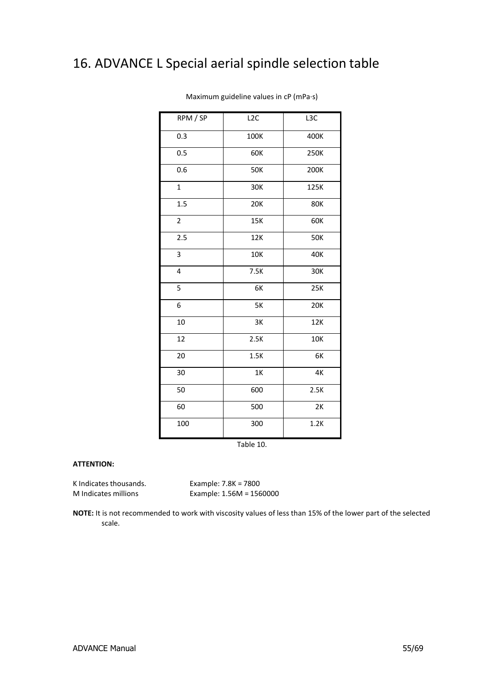# <span id="page-54-0"></span>16. ADVANCE L Special aerial spindle selection table

| RPM / SP       | L <sub>2</sub> C | L <sub>3</sub> C |
|----------------|------------------|------------------|
| 0.3            | 100K             | 400K             |
| 0.5            | 60K              | 250K             |
| 0.6            | <b>50K</b>       | 200K             |
| $\mathbf{1}$   | 30K              | 125K             |
| 1.5            | <b>20K</b>       | <b>80K</b>       |
| $\overline{2}$ | <b>15K</b>       | 60K              |
| 2.5            | 12K              | <b>50K</b>       |
| 3              | <b>10K</b>       | 40K              |
| 4              | 7.5K             | 30K              |
| 5              | 6K               | 25K              |
| 6              | 5K               | 20K              |
| 10             | 3K               | 12K              |
| 12             | 2.5K             | 10K              |
| 20             | 1.5K             | 6K               |
| 30             | 1K               | 4K               |
| 50             | 600              | 2.5K             |
| 60             | 500              | 2K               |
| 100            | 300              | 1.2K             |

Maximum guideline values in cP (mPa·s)

Table 10.

#### **ATTENTION:**

K Indicates thousands.<br> $E\tanh 1.56M = 7800$ 

M Indicates millions Example: 1.56M = 1560000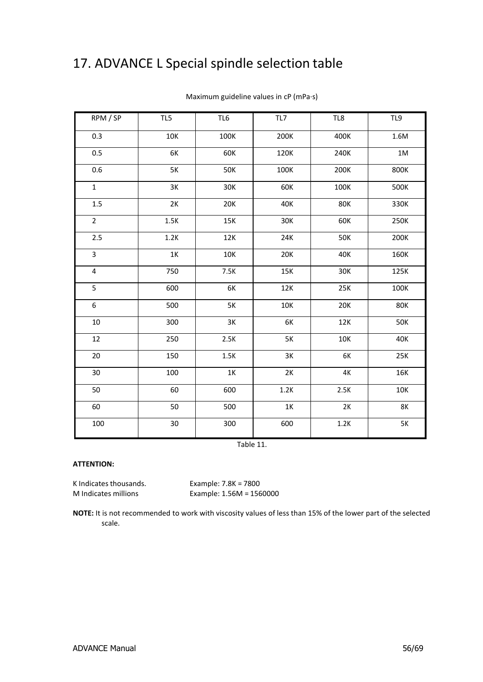# <span id="page-55-0"></span>17. ADVANCE L Special spindle selection table

| RPM / SP                | TL5  | TL <sub>6</sub> | TL7           | TL8             | TL9        |
|-------------------------|------|-----------------|---------------|-----------------|------------|
| 0.3                     | 10K  | 100K            | 200K          | 400K            | 1.6M       |
| 0.5                     | 6K   | 60K             | 120K          | 240K            | $1M$       |
| 0.6                     | 5K   | <b>50K</b>      | 100K          | 200K            | 800K       |
| $\mathbf 1$             | 3K   | 30K             | 60K           | 100K            | 500K       |
| 1.5                     | 2K   | 20K             | 40K           | <b>80K</b>      | 330K       |
| $\overline{2}$          | 1.5K | 15K             | 30K           | 60K             | 250K       |
| 2.5                     | 1.2K | 12K             | 24K           | <b>50K</b>      | 200K       |
| $\overline{3}$          | 1K   | 10K             | <b>20K</b>    | 40K             | 160K       |
| $\overline{\mathbf{4}}$ | 750  | 7.5K            | 15K           | 30K             | 125K       |
| 5                       | 600  | 6K              | 12K           | 25K             | 100K       |
| 6                       | 500  | 5K              | 10K           | 20K             | <b>80K</b> |
| $10\,$                  | 300  | 3K              | 6K            | 12K             | <b>50K</b> |
| 12                      | 250  | 2.5K            | <b>5K</b>     | 10K             | 40K        |
| 20                      | 150  | 1.5K            | 3K            | 6K              | 25K        |
| 30                      | 100  | $1\mathrm{K}$   | 2K            | $4\mathrm{\,K}$ | <b>16K</b> |
| 50                      | 60   | 600             | 1.2K          | 2.5K            | 10K        |
| 60                      | 50   | 500             | $1\mathrm{K}$ | 2K              | <b>8K</b>  |
| 100                     | 30   | 300             | 600           | 1.2K            | $5K$       |

Maximum guideline values in cP (mPa·s)

Table 11.

#### **ATTENTION:**

K Indicates thousands. Example: 7.8K = 7800

M Indicates millions Example: 1.56M = 1560000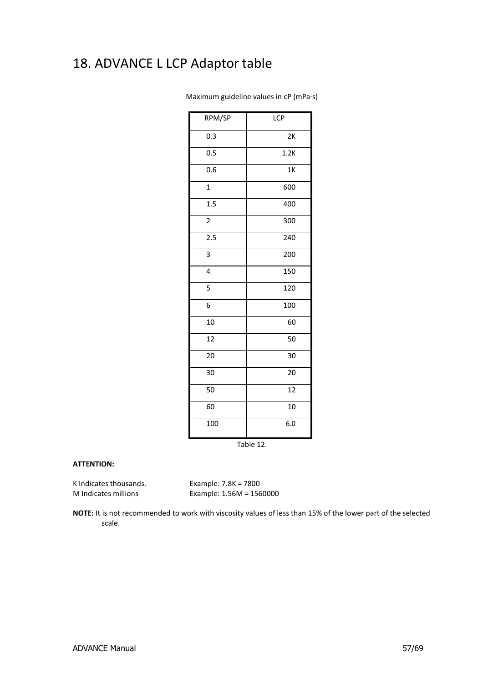# <span id="page-56-0"></span>18. ADVANCE L LCP Adaptor table

| RPM/SP           | <b>LCP</b>      |  |  |  |
|------------------|-----------------|--|--|--|
| 0.3              | 2K              |  |  |  |
| 0.5              | 1.2K            |  |  |  |
| 0.6              | 1 <sub>K</sub>  |  |  |  |
| $\overline{1}$   | 600             |  |  |  |
| 1.5              | 400             |  |  |  |
| $\overline{c}$   | 300             |  |  |  |
| $\overline{2.5}$ | 240             |  |  |  |
| 3                | 200             |  |  |  |
| 4                | 150             |  |  |  |
| 5                | 120             |  |  |  |
| 6                | 100             |  |  |  |
| 10               | 60              |  |  |  |
| 12               | 50              |  |  |  |
| 20               | 30              |  |  |  |
| 30               | 20              |  |  |  |
| 50               | $\overline{12}$ |  |  |  |
| 60               | 10              |  |  |  |
| $\frac{1}{100}$  | 6.0             |  |  |  |

Maximum guideline values in cP (mPa·s)

Table 12.

#### **ATTENTION:**

K Indicates thousands. Example: 7.8K = 7800

M Indicates millions Example: 1.56M = 1560000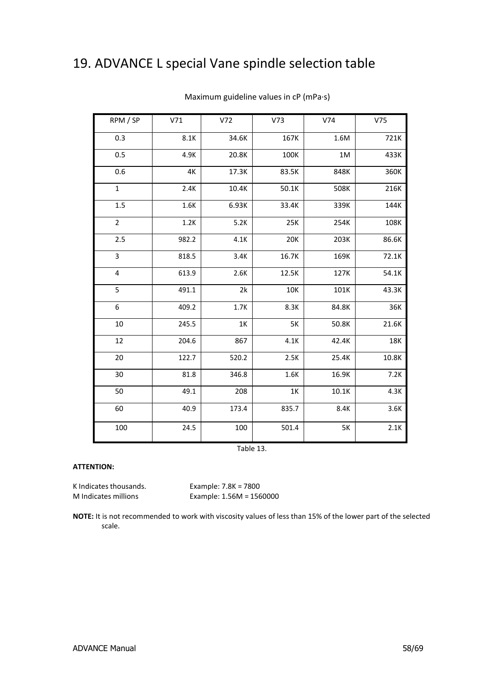# <span id="page-57-0"></span>19. ADVANCE L special Vane spindle selection table

| RPM / SP         | V71   | V72   | V <sub>73</sub> | V74   | V75   |
|------------------|-------|-------|-----------------|-------|-------|
| 0.3              | 8.1K  | 34.6K | 167K            | 1.6M  | 721K  |
| 0.5              | 4.9K  | 20.8K | 100K            | 1M    | 433K  |
| 0.6              | 4К    | 17.3K | 83.5K           | 848K  | 360K  |
| $\mathbf{1}$     | 2.4K  | 10.4K | 50.1K           | 508K  | 216K  |
| 1.5              | 1.6K  | 6.93K | 33.4K           | 339K  | 144K  |
| $\overline{2}$   | 1.2K  | 5.2K  | 25K             | 254K  | 108K  |
| 2.5              | 982.2 | 4.1K  | 20K             | 203K  | 86.6K |
| 3                | 818.5 | 3.4K  | 16.7K           | 169K  | 72.1K |
| 4                | 613.9 | 2.6K  | 12.5K           | 127K  | 54.1K |
| 5                | 491.1 | 2k    | 10K             | 101K  | 43.3K |
| $\boldsymbol{6}$ | 409.2 | 1.7K  | 8.3K            | 84.8K | 36K   |
| 10               | 245.5 | 1K    | 5K              | 50.8K | 21.6K |
| 12               | 204.6 | 867   | 4.1K            | 42.4K | 18K   |
| 20               | 122.7 | 520.2 | 2.5K            | 25.4K | 10.8K |
| 30               | 81.8  | 346.8 | 1.6K            | 16.9K | 7.2K  |
| 50               | 49.1  | 208   | 1K              | 10.1K | 4.3K  |
| 60               | 40.9  | 173.4 | 835.7           | 8.4K  | 3.6K  |
| 100              | 24.5  | 100   | 501.4           | 5K    | 2.1K  |

Maximum guideline values in cP (mPa·s)

Table 13.

#### **ATTENTION:**

K Indicates thousands. Example: 7.8K = 7800<br>M Indicates millions Example: 1.56M = 156

Example:  $1.56M = 1560000$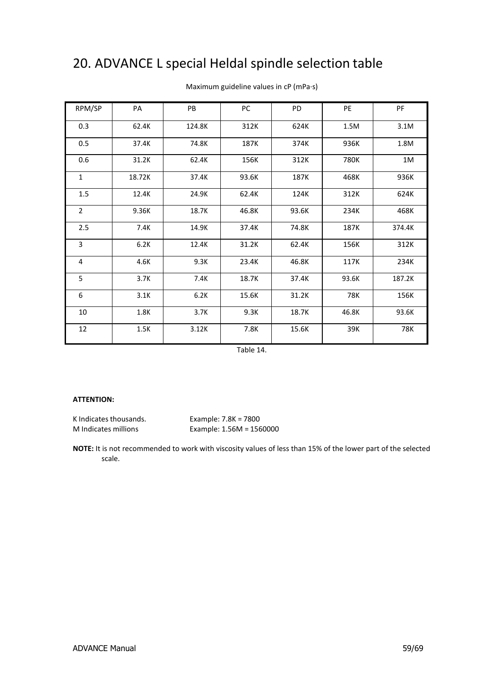# <span id="page-58-0"></span>20. ADVANCE L special Heldal spindle selection table

| RPM/SP         | PA     | PB     | PC    | PD    | PE    | PF         |
|----------------|--------|--------|-------|-------|-------|------------|
| 0.3            | 62.4K  | 124.8K | 312K  | 624K  | 1.5M  | 3.1M       |
| 0.5            | 37.4K  | 74.8K  | 187K  | 374K  | 936K  | 1.8M       |
| 0.6            | 31.2K  | 62.4K  | 156K  | 312K  | 780K  | $1M$       |
| $\mathbf{1}$   | 18.72K | 37.4K  | 93.6K | 187K  | 468K  | 936K       |
| 1.5            | 12.4K  | 24.9K  | 62.4K | 124K  | 312K  | 624K       |
| $\overline{2}$ | 9.36K  | 18.7K  | 46.8K | 93.6K | 234K  | 468K       |
| 2.5            | 7.4K   | 14.9K  | 37.4K | 74.8K | 187K  | 374.4K     |
| 3              | 6.2K   | 12.4K  | 31.2K | 62.4K | 156K  | 312K       |
| 4              | 4.6K   | 9.3K   | 23.4K | 46.8K | 117K  | 234K       |
| 5              | 3.7K   | 7.4K   | 18.7K | 37.4K | 93.6K | 187.2K     |
| 6              | 3.1K   | 6.2K   | 15.6K | 31.2K | 78K   | 156K       |
| 10             | 1.8K   | 3.7K   | 9.3K  | 18.7K | 46.8K | 93.6K      |
| 12             | 1.5K   | 3.12K  | 7.8K  | 15.6K | 39K   | <b>78K</b> |

Maximum guideline values in cP (mPa·s)

Table 14.

### **ATTENTION:**

K Indicates thousands. Example: 7.8K = 7800

M Indicates millions Example: 1.56M = 1560000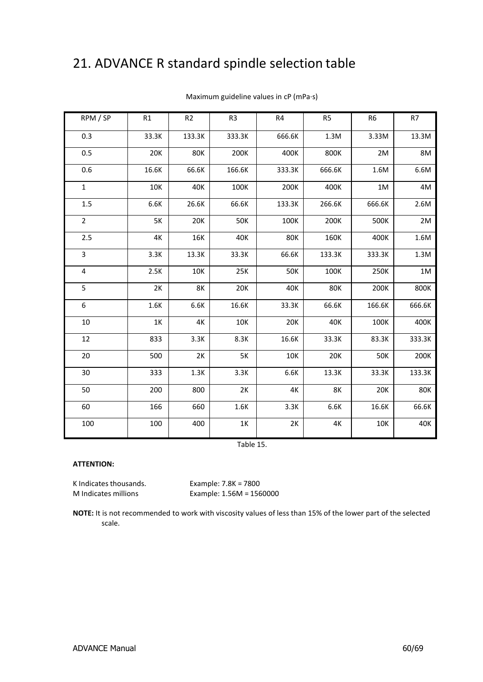# <span id="page-59-0"></span>21. ADVANCE R standard spindle selection table

| RPM / SP                | R1         | R2     | R <sub>3</sub> | R4         | R <sub>5</sub> | R <sub>6</sub> | R7     |
|-------------------------|------------|--------|----------------|------------|----------------|----------------|--------|
| 0.3                     | 33.3K      | 133.3K | 333.3K         | 666.6K     | 1.3M           | 3.33M          | 13.3M  |
| 0.5                     | <b>20K</b> | 80K    | 200K           | 400K       | 800K           | 2M             | 8M     |
| 0.6                     | 16.6K      | 66.6K  | 166.6K         | 333.3K     | 666.6K         | 1.6M           | 6.6M   |
| $\mathbf 1$             | 10K        | 40K    | 100K           | 200K       | 400K           | 1M             | 4M     |
| 1.5                     | 6.6K       | 26.6K  | 66.6K          | 133.3K     | 266.6K         | 666.6K         | 2.6M   |
| $\overline{2}$          | 5K         | 20K    | 50K            | 100K       | 200K           | 500K           | 2M     |
| 2.5                     | 4K         | 16K    | 40K            | 80K        | 160K           | 400K           | 1.6M   |
| 3                       | 3.3K       | 13.3K  | 33.3K          | 66.6K      | 133.3K         | 333.3K         | 1.3M   |
| $\overline{\mathbf{4}}$ | 2.5K       | 10K    | 25K            | <b>50K</b> | 100K           | 250K           | $1M$   |
| 5                       | 2K         | 8K     | 20K            | 40K        | <b>80K</b>     | 200K           | 800K   |
| 6                       | 1.6K       | 6.6K   | 16.6K          | 33.3K      | 66.6K          | 166.6K         | 666.6K |
| 10                      | 1K         | 4K     | 10K            | 20K        | 40K            | 100K           | 400K   |
| 12                      | 833        | 3.3K   | 8.3K           | 16.6K      | 33.3K          | 83.3K          | 333.3K |
| 20                      | 500        | 2K     | 5K             | 10K        | 20K            | 50K            | 200K   |
| 30                      | 333        | 1.3K   | 3.3K           | 6.6K       | 13.3K          | 33.3K          | 133.3K |
| 50                      | 200        | 800    | 2K             | 4K         | 8K             | 20K            | 80K    |
| 60                      | 166        | 660    | 1.6K           | 3.3K       | 6.6K           | 16.6K          | 66.6K  |
| 100                     | 100        | 400    | $1K$           | 2K         | 4K             | 10K            | 40K    |

Maximum guideline values in cP (mPa·s)

Table 15.

#### **ATTENTION:**

K Indicates thousands. Example: 7.8K = 7800

M Indicates millions Example: 1.56M = 1560000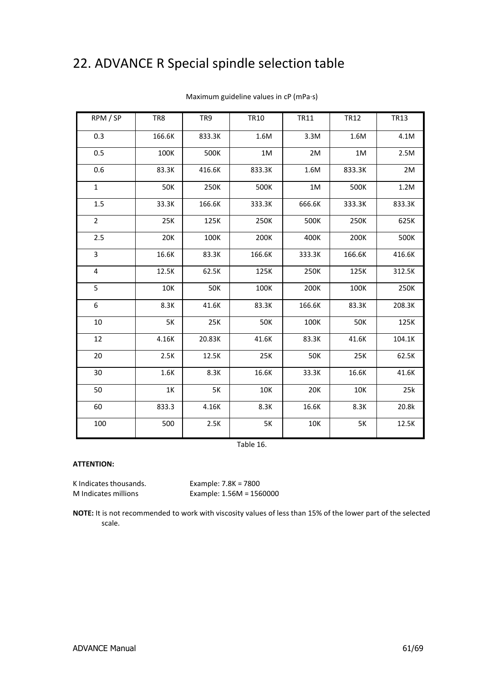# <span id="page-60-0"></span>22. ADVANCE R Special spindle selection table

| RPM / SP       | TR8    | TR9        | <b>TR10</b> | <b>TR11</b> | <b>TR12</b> | <b>TR13</b> |
|----------------|--------|------------|-------------|-------------|-------------|-------------|
| 0.3            | 166.6K | 833.3K     | 1.6M        | 3.3M        | 1.6M        | 4.1M        |
| 0.5            | 100K   | 500K       | 1M          | 2M          | 1M          | 2.5M        |
| 0.6            | 83.3K  | 416.6K     | 833.3K      | 1.6M        | 833.3K      | 2M          |
| $\mathbf{1}$   | 50K    | 250K       | 500K        | 1M          | 500K        | 1.2M        |
| 1.5            | 33.3K  | 166.6K     | 333.3K      | 666.6K      | 333.3K      | 833.3K      |
| $\overline{2}$ | 25K    | 125K       | 250K        | 500K        | 250K        | 625K        |
| 2.5            | 20K    | 100K       | 200K        | 400K        | 200K        | 500K        |
| 3              | 16.6K  | 83.3K      | 166.6K      | 333.3K      | 166.6K      | 416.6K      |
| 4              | 12.5K  | 62.5K      | 125K        | 250K        | 125K        | 312.5K      |
| 5              | 10K    | <b>50K</b> | 100K        | 200K        | 100K        | 250K        |
| 6              | 8.3K   | 41.6K      | 83.3K       | 166.6K      | 83.3K       | 208.3K      |
| 10             | 5K     | 25K        | <b>50K</b>  | 100K        | <b>50K</b>  | 125K        |
| 12             | 4.16K  | 20.83K     | 41.6K       | 83.3K       | 41.6K       | 104.1K      |
| 20             | 2.5K   | 12.5K      | 25K         | <b>50K</b>  | 25K         | 62.5K       |
| 30             | 1.6K   | 8.3K       | 16.6K       | 33.3K       | 16.6K       | 41.6K       |
| 50             | 1K     | 5K         | 10K         | 20K         | 10K         | 25k         |
| 60             | 833.3  | 4.16K      | 8.3K        | 16.6K       | 8.3K        | 20.8k       |
| 100            | 500    | 2.5K       | 5K          | 10K         | <b>5K</b>   | 12.5K       |

Maximum guideline values in cP (mPa·s)

Table 16.

#### **ATTENTION:**

K Indicates thousands. Example: 7.8K = 7800

M Indicates millions Example: 1.56M = 1560000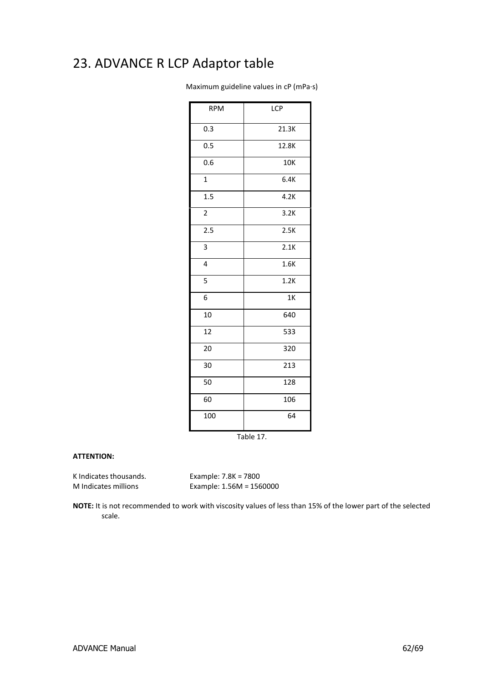# <span id="page-61-0"></span>23. ADVANCE R LCP Adaptor table

Maximum guideline values in cP (mPa·s)

| <b>RPM</b>              | <b>LCP</b>     |  |  |  |  |
|-------------------------|----------------|--|--|--|--|
| 0.3                     | 21.3K          |  |  |  |  |
| 0.5                     | 12.8K          |  |  |  |  |
| 0.6                     | 10K            |  |  |  |  |
| $\mathbf{1}$            | 6.4K           |  |  |  |  |
| 1.5                     | 4.2K           |  |  |  |  |
| $\overline{c}$          | 3.2K           |  |  |  |  |
| $\overline{2.5}$        | 2.5K           |  |  |  |  |
| 3                       | 2.1K           |  |  |  |  |
| $\overline{\mathbf{4}}$ | 1.6K           |  |  |  |  |
| 5                       | 1.2K           |  |  |  |  |
| 6                       | 1 <sub>K</sub> |  |  |  |  |
| 10                      | 640            |  |  |  |  |
| 12                      | 533            |  |  |  |  |
| 20                      | 320            |  |  |  |  |
| 30                      | 213            |  |  |  |  |
| 50                      | 128            |  |  |  |  |
| 60                      | 106            |  |  |  |  |
| 100                     | 64             |  |  |  |  |
| Table 17.               |                |  |  |  |  |

### **ATTENTION:**

K Indicates thousands. Example: 7.8K = 7800

M Indicates millions Example: 1.56M = 1560000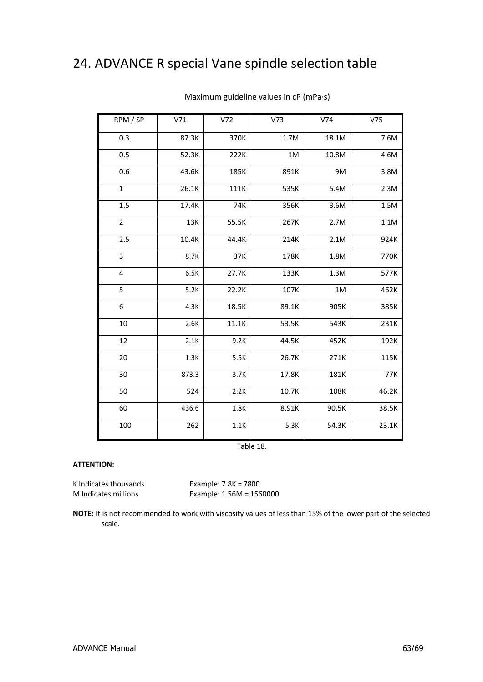# <span id="page-62-0"></span>24. ADVANCE R special Vane spindle selection table

| RPM / SP       | V71   | V72   | V <sub>73</sub> | V74   | V75   |
|----------------|-------|-------|-----------------|-------|-------|
| 0.3            | 87.3K | 370K  | 1.7M            | 18.1M | 7.6M  |
| 0.5            | 52.3K | 222K  | $1M$            | 10.8M | 4.6M  |
| 0.6            | 43.6K | 185K  | 891K            | 9M    | 3.8M  |
| $\mathbf 1$    | 26.1K | 111K  | 535K            | 5.4M  | 2.3M  |
| 1.5            | 17.4K | 74K   | 356K            | 3.6M  | 1.5M  |
| $\overline{2}$ | 13K   | 55.5K | 267K            | 2.7M  | 1.1M  |
| 2.5            | 10.4K | 44.4K | 214K            | 2.1M  | 924K  |
| 3              | 8.7K  | 37K   | 178K            | 1.8M  | 770K  |
| $\pmb{4}$      | 6.5K  | 27.7K | 133K            | 1.3M  | 577K  |
| 5              | 5.2K  | 22.2K | 107K            | 1M    | 462K  |
| 6              | 4.3K  | 18.5K | 89.1K           | 905K  | 385K  |
| 10             | 2.6K  | 11.1K | 53.5K           | 543K  | 231K  |
| 12             | 2.1K  | 9.2K  | 44.5K           | 452K  | 192K  |
| 20             | 1.3K  | 5.5K  | 26.7K           | 271K  | 115K  |
| 30             | 873.3 | 3.7K  | 17.8K           | 181K  | 77K   |
| 50             | 524   | 2.2K  | 10.7K           | 108K  | 46.2K |
| 60             | 436.6 | 1.8K  | 8.91K           | 90.5K | 38.5K |
| 100            | 262   | 1.1K  | 5.3K            | 54.3K | 23.1K |

Maximum guideline values in cP (mPa·s)

Table 18.

#### **ATTENTION:**

K Indicates thousands. Example: 7.8K = 7800

M Indicates millions Example: 1.56M = 1560000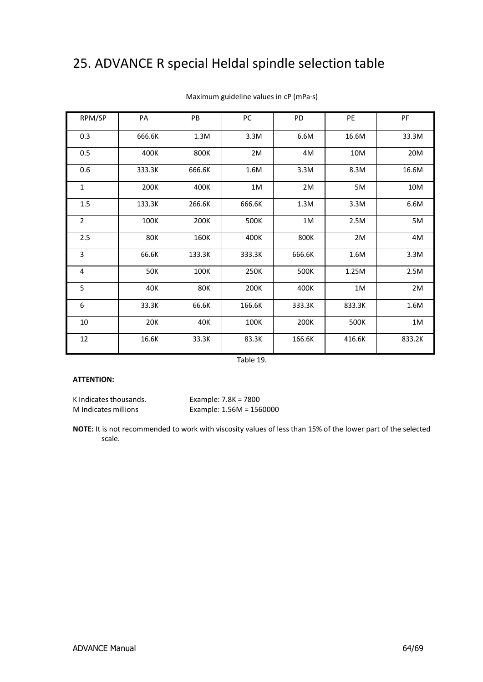# <span id="page-63-0"></span>25. ADVANCE R special Heldal spindle selection table

| RPM/SP         | PA         | PB     | PC     | PD          | <b>PE</b> | PF     |
|----------------|------------|--------|--------|-------------|-----------|--------|
| 0.3            | 666.6K     | 1.3M   | 3.3M   | 6.6M        | 16.6M     | 33.3M  |
| 0.5            | 400K       | 800K   | 2M     | 4M          | 10M       | 20M    |
| 0.6            | 333.3K     | 666.6K | 1.6M   | 3.3M        | 8.3M      | 16.6M  |
| 1              | 200K       | 400K   | $1M$   | 2M          | 5M        | 10M    |
| 1.5            | 133.3K     | 266.6K | 666.6K | 1.3M        | 3.3M      | 6.6M   |
| $\overline{2}$ | 100K       | 200K   | 500K   | $1\text{M}$ | 2.5M      | 5M     |
| 2.5            | <b>80K</b> | 160K   | 400K   | 800K        | 2M        | 4M     |
| 3              | 66.6K      | 133.3K | 333.3K | 666.6K      | 1.6M      | 3.3M   |
| $\overline{4}$ | 50K        | 100K   | 250K   | 500K        | 1.25M     | 2.5M   |
| 5              | 40K        | 80K    | 200K   | 400K        | 1M        | 2M     |
| 6              | 33.3K      | 66.6K  | 166.6K | 333.3K      | 833.3K    | 1.6M   |
| 10             | 20K        | 40K    | 100K   | 200K        | 500K      | $1M$   |
| 12             | 16.6K      | 33.3K  | 83.3K  | 166.6K      | 416.6K    | 833.2K |

### Maximum guideline values in cP (mPa·s)

Table 19.

#### **ATTENTION:**

K Indicates thousands. Example: 7.8K = 7800

M Indicates millions Example: 1.56M = 1560000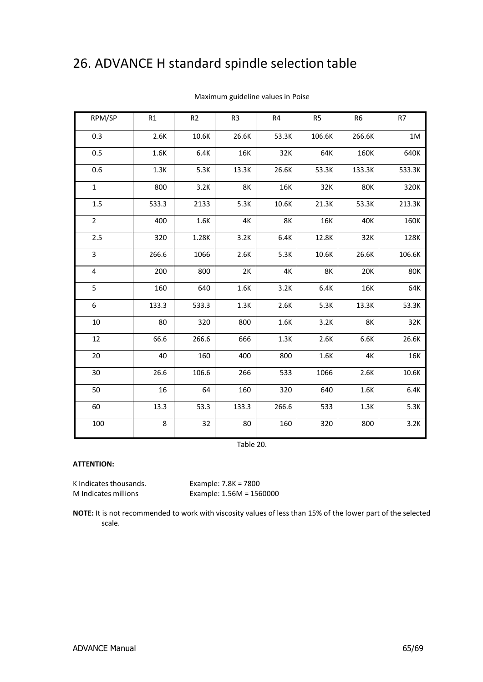# <span id="page-64-0"></span>26. ADVANCE H standard spindle selection table

| RPM/SP         | R1    | R <sub>2</sub> | R <sub>3</sub> | R4    | R <sub>5</sub> | R <sub>6</sub> | R7     |
|----------------|-------|----------------|----------------|-------|----------------|----------------|--------|
| 0.3            | 2.6K  | 10.6K          | 26.6K          | 53.3K | 106.6K         | 266.6K         | 1M     |
| 0.5            | 1.6K  | 6.4K           | 16K            | 32K   | 64K            | 160K           | 640K   |
| 0.6            | 1.3K  | 5.3K           | 13.3K          | 26.6K | 53.3K          | 133.3K         | 533.3K |
| $\mathbf{1}$   | 800   | 3.2K           | 8K             | 16K   | 32K            | <b>80K</b>     | 320K   |
| 1.5            | 533.3 | 2133           | 5.3K           | 10.6K | 21.3K          | 53.3K          | 213.3K |
| $\overline{2}$ | 400   | 1.6K           | 4K             | 8K    | 16K            | 40K            | 160K   |
| 2.5            | 320   | 1.28K          | 3.2K           | 6.4K  | 12.8K          | 32K            | 128K   |
| 3              | 266.6 | 1066           | 2.6K           | 5.3K  | 10.6K          | 26.6K          | 106.6K |
| 4              | 200   | 800            | 2K             | 4K    | <b>8K</b>      | <b>20K</b>     | 80K    |
| 5              | 160   | 640            | 1.6K           | 3.2K  | 6.4K           | 16K            | 64K    |
| 6              | 133.3 | 533.3          | 1.3K           | 2.6K  | 5.3K           | 13.3K          | 53.3K  |
| 10             | 80    | 320            | 800            | 1.6K  | 3.2K           | 8K             | 32K    |
| 12             | 66.6  | 266.6          | 666            | 1.3K  | 2.6K           | 6.6K           | 26.6K  |
| 20             | 40    | 160            | 400            | 800   | 1.6K           | 4K             | 16K    |
| 30             | 26.6  | 106.6          | 266            | 533   | 1066           | 2.6K           | 10.6K  |
| 50             | 16    | 64             | 160            | 320   | 640            | 1.6K           | 6.4K   |
| 60             | 13.3  | 53.3           | 133.3          | 266.6 | 533            | 1.3K           | 5.3K   |
| 100            | 8     | 32             | 80             | 160   | 320            | 800            | 3.2K   |

Maximum guideline values in Poise

Table 20.

#### **ATTENTION:**

K Indicates thousands. Example: 7.8K = 7800

M Indicates millions Example: 1.56M = 1560000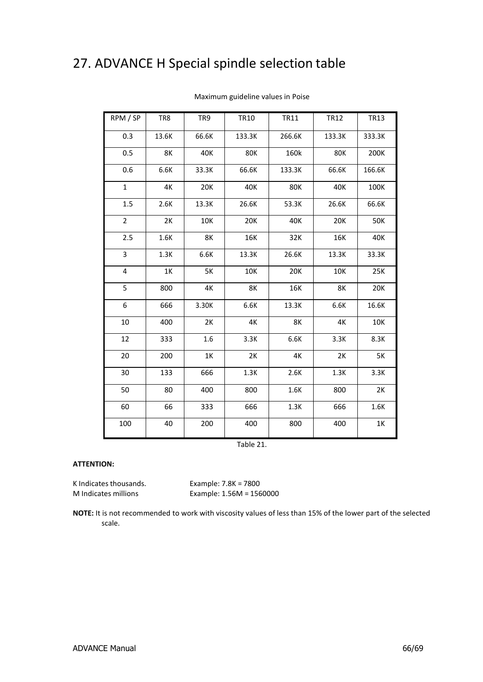# <span id="page-65-0"></span>27. ADVANCE H Special spindle selection table

| RPM / SP       | TR8   | TR9   | <b>TR10</b> | TR11       | <b>TR12</b> | <b>TR13</b> |
|----------------|-------|-------|-------------|------------|-------------|-------------|
| 0.3            | 13.6K | 66.6K | 133.3K      | 266.6K     | 133.3K      | 333.3K      |
| 0.5            | 8K    | 40K   | <b>80K</b>  | 160k       | <b>80K</b>  | 200K        |
| 0.6            | 6.6K  | 33.3K | 66.6K       | 133.3K     | 66.6K       | 166.6K      |
| $\mathbf{1}$   | 4K    | 20K   | 40K         | <b>80K</b> | 40K         | 100K        |
| 1.5            | 2.6K  | 13.3K | 26.6K       | 53.3K      | 26.6K       | 66.6K       |
| $\overline{2}$ | 2K    | 10K   | <b>20K</b>  | 40K        | 20K         | 50K         |
| 2.5            | 1.6K  | 8K    | 16K         | 32K        | 16K         | 40K         |
| 3              | 1.3K  | 6.6K  | 13.3K       | 26.6K      | 13.3K       | 33.3K       |
| 4              | $1K$  | 5K    | 10K         | 20K        | 10K         | 25K         |
| 5              | 800   | 4K    | 8K          | 16K        | 8K          | 20K         |
| 6              | 666   | 3.30K | 6.6K        | 13.3K      | 6.6K        | 16.6K       |
| 10             | 400   | 2K    | 4K          | 8K         | 4K          | 10K         |
| 12             | 333   | 1.6   | 3.3K        | 6.6K       | 3.3K        | 8.3K        |
| 20             | 200   | 1K    | 2K          | 4K         | 2K          | <b>5K</b>   |
| 30             | 133   | 666   | 1.3K        | 2.6K       | 1.3K        | 3.3K        |
| 50             | 80    | 400   | 800         | 1.6K       | 800         | 2K          |
| 60             | 66    | 333   | 666         | 1.3K       | 666         | 1.6K        |
| 100            | 40    | 200   | 400         | 800        | 400         | 1K          |

Maximum guideline values in Poise

Table 21.

#### **ATTENTION:**

K Indicates thousands. Example: 7.8K = 7800

M Indicates millions Example: 1.56M = 1560000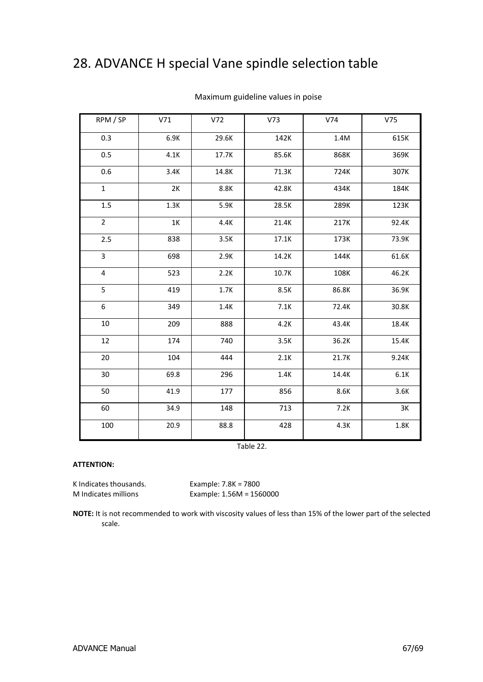# <span id="page-66-0"></span>28. ADVANCE H special Vane spindle selection table

| RPM / SP     | V71  | V <sub>72</sub> | V <sub>73</sub> | V74   | V75   |
|--------------|------|-----------------|-----------------|-------|-------|
| 0.3          | 6.9K | 29.6K           | 142K            | 1.4M  | 615K  |
| 0.5          | 4.1K | 17.7K           | 85.6K           | 868K  | 369K  |
| 0.6          | 3.4K | 14.8K           | 71.3K           | 724K  | 307K  |
| $\mathbf{1}$ | 2K   | 8.8K            | 42.8K           | 434K  | 184K  |
| 1.5          | 1.3K | 5.9K            | 28.5K           | 289K  | 123K  |
| $\mathbf 2$  | 1K   | 4.4K            | 21.4K           | 217K  | 92.4K |
| 2.5          | 838  | 3.5K            | 17.1K           | 173K  | 73.9K |
| 3            | 698  | 2.9K            | 14.2K           | 144K  | 61.6K |
| 4            | 523  | 2.2K            | 10.7K           | 108K  | 46.2K |
| 5            | 419  | 1.7K            | 8.5K            | 86.8K | 36.9K |
| 6            | 349  | 1.4K            | 7.1K            | 72.4K | 30.8K |
| $10\,$       | 209  | 888             | 4.2K            | 43.4K | 18.4K |
| 12           | 174  | 740             | 3.5K            | 36.2K | 15.4K |
| 20           | 104  | 444             | 2.1K            | 21.7K | 9.24K |
| 30           | 69.8 | 296             | 1.4K            | 14.4K | 6.1K  |
| 50           | 41.9 | 177             | 856             | 8.6K  | 3.6K  |
| 60           | 34.9 | 148             | 713             | 7.2K  | 3K    |
| 100          | 20.9 | 88.8            | 428             | 4.3K  | 1.8K  |

### Maximum guideline values in poise

Table 22.

### **ATTENTION:**

K Indicates thousands.<br>
M Indicates millions<br>
Example: 1.56M = 156

Example:  $1.56M = 1560000$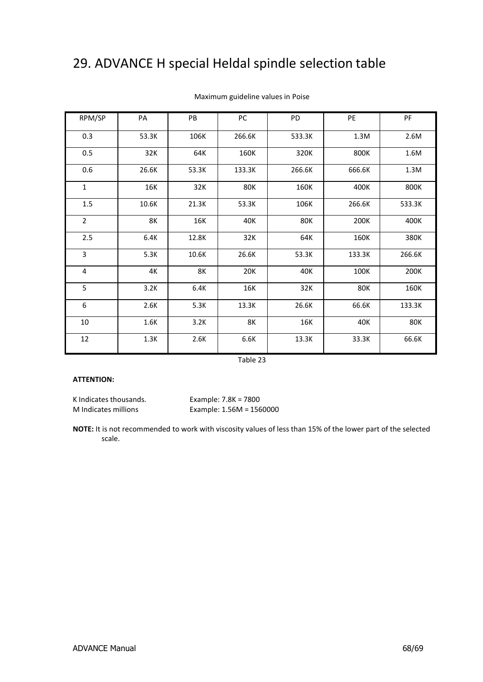# <span id="page-67-0"></span>29. ADVANCE H special Heldal spindle selection table

| RPM/SP         | PA    | PB    | PC         | PD         | PE     | PF         |
|----------------|-------|-------|------------|------------|--------|------------|
| 0.3            | 53.3K | 106K  | 266.6K     | 533.3K     | 1.3M   | 2.6M       |
| 0.5            | 32K   | 64K   | 160K       | 320K       | 800K   | 1.6M       |
| 0.6            | 26.6K | 53.3K | 133.3K     | 266.6K     | 666.6K | 1.3M       |
| $\mathbf{1}$   | 16K   | 32K   | <b>80K</b> | 160K       | 400K   | 800K       |
| 1.5            | 10.6K | 21.3K | 53.3K      | 106K       | 266.6K | 533.3K     |
| $\overline{2}$ | 8K    | 16K   | 40K        | <b>80K</b> | 200K   | 400K       |
| 2.5            | 6.4K  | 12.8K | 32K        | 64K        | 160K   | 380K       |
| 3              | 5.3K  | 10.6K | 26.6K      | 53.3K      | 133.3K | 266.6K     |
| 4              | 4K    | 8K    | 20K        | 40K        | 100K   | 200K       |
| 5              | 3.2K  | 6.4K  | 16K        | 32K        | 80K    | 160K       |
| 6              | 2.6K  | 5.3K  | 13.3K      | 26.6K      | 66.6K  | 133.3K     |
| 10             | 1.6K  | 3.2K  | 8K         | 16K        | 40K    | <b>80K</b> |
| 12             | 1.3K  | 2.6K  | 6.6K       | 13.3K      | 33.3K  | 66.6K      |

### Maximum guideline values in Poise

Table 23

### **ATTENTION:**

K Indicates thousands. Example: 7.8K = 7800

M Indicates millions Example: 1.56M = 1560000